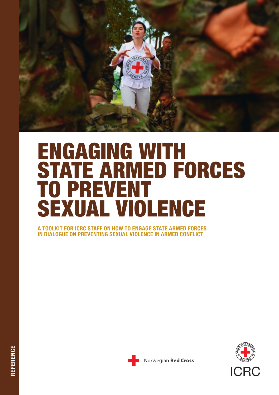

# ENGAGING WITH STATE ARMED FORCES TO PREVENT SEXUAL VIOLENCE

A TOOLKIT FOR ICRC STAFF ON HOW TO ENGAGE STATE ARMED FORCES IN DIALOGUE ON PREVENTING SEXUAL VIOLENCE IN ARMED CONFLICT





Norwegian Red Cross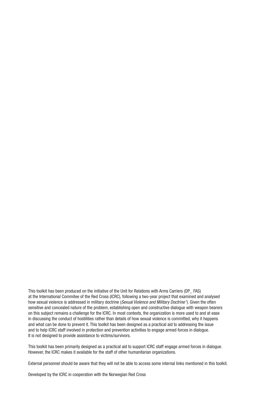This toolkit has been produced on the initiative of the Unit for Relations with Arms Carriers (DP\_ FAS) at the International Commitee of the Red Cross (ICRC), following a two-year project that examined and analysed how sexual violence is addressed in military doctrine (*Sexual Violence and Military Doctrine <sup>1</sup>* ). Given the often sensitive and concealed nature of the problem, establishing open and constructive dialogue with weapon bearers on this subject remains a challenge for the ICRC. In most contexts, the organization is more used to and at ease in discussing the conduct of hostilities rather than details of how sexual violence is committed, why it happens and what can be done to prevent it. This toolkit has been designed as a practical aid to addressing the issue and to help ICRC staff involved in protection and prevention activities to engage armed forces in dialogue. It is not designed to provide assistance to victims/survivors.

This toolkit has been primarily designed as a practical aid to support ICRC staff engage armed forces in dialogue. However, the ICRC makes it available for the staff of other humanitarian organizations.

External personnel should be aware that they will not be able to access some internal links mentioned in this toolkit.

Developed by the ICRC in cooperation with the Norwegian Red Cross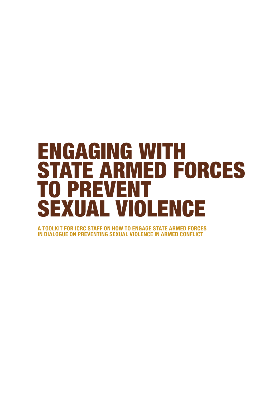# ENGAGING WITH STATE ARMED FORCES TO PREVENT SEXUAL VIOLENCE

A TOOLKIT FOR ICRC STAFF ON HOW TO ENGAGE STATE ARMED FORCES IN DIALOGUE ON PREVENTING SEXUAL VIOLENCE IN ARMED CONFLICT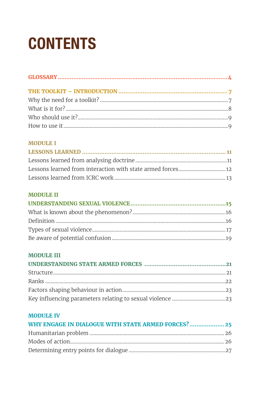# **CONTENTS**

### **MODULE I**

### **MODULE II**

### **MODULE III**

### **MODULE IV**

| WHY ENGAGE IN DIALOGUE WITH STATE ARMED FORCES? 25 |  |
|----------------------------------------------------|--|
|                                                    |  |
|                                                    |  |
|                                                    |  |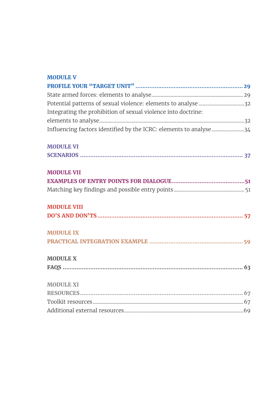| <b>MODULE V</b>                                                    |  |
|--------------------------------------------------------------------|--|
|                                                                    |  |
|                                                                    |  |
| Potential patterns of sexual violence: elements to analyse 32      |  |
| Integrating the prohibition of sexual violence into doctrine:      |  |
|                                                                    |  |
| Influencing factors identified by the ICRC: elements to analyse 34 |  |
| <b>MODULE VI</b>                                                   |  |
|                                                                    |  |
| <b>MODULE VII</b>                                                  |  |
|                                                                    |  |
|                                                                    |  |
| <b>MODULE VIII</b>                                                 |  |
|                                                                    |  |
| <b>MODULE IX</b>                                                   |  |
|                                                                    |  |
| <b>MODULE X</b>                                                    |  |
|                                                                    |  |
| <b>MODULE XI</b>                                                   |  |
|                                                                    |  |
|                                                                    |  |
|                                                                    |  |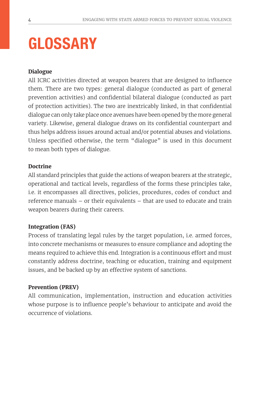# GLOSSARY

### **Dialogue**

All ICRC activities directed at weapon bearers that are designed to influence them. There are two types: general dialogue (conducted as part of general prevention activities) and confidential bilateral dialogue (conducted as part of protection activities). The two are inextricably linked, in that confidential dialogue can only take place once avenues have been opened by the more general variety. Likewise, general dialogue draws on its confidential counterpart and thus helps address issues around actual and/or potential abuses and violations. Unless specified otherwise, the term "dialogue" is used in this document to mean both types of dialogue.

### **Doctrine**

All standard principles that guide the actions of weapon bearers at the strategic, operational and tactical levels, regardless of the forms these principles take, i.e. it encompasses all directives, policies, procedures, codes of conduct and reference manuals – or their equivalents – that are used to educate and train weapon bearers during their careers.

### **Integration (FAS)**

Process of translating legal rules by the target population, i.e. armed forces, into concrete mechanisms or measures to ensure compliance and adopting the means required to achieve this end. Integration is a continuous effort and must constantly address doctrine, teaching or education, training and equipment issues, and be backed up by an effective system of sanctions.

#### **Prevention (PREV)**

All communication, implementation, instruction and education activities whose purpose is to influence people's behaviour to anticipate and avoid the occurrence of violations.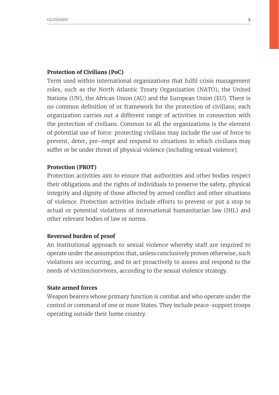#### **Protection of Civilians (PoC)**

Term used within international organizations that fulfil crisis management roles, such as the North Atlantic Treaty Organization (NATO), the United Nations (UN), the African Union (AU) and the European Union (EU). There is no common definition of or framework for the protection of civilians; each organization carries out a different range of activities in connection with the protection of civilians. Common to all the organizations is the element of potential use of force: protecting civilians may include the use of force to prevent, deter, pre-empt and respond to situations in which civilians may suffer or be under threat of physical violence (including sexual violence).

#### **Protection (PROT)**

Protection activities aim to ensure that authorities and other bodies respect their obligations and the rights of individuals to preserve the safety, physical integrity and dignity of those affected by armed conflict and other situations of violence. Protection activities include efforts to prevent or put a stop to actual or potential violations of international humanitarian law (IHL) and other relevant bodies of law or norms.

#### **Reversed burden of proof**

An institutional approach to sexual violence whereby staff are required to operate under the assumption that, unless conclusively proven otherwise, such violations are occurring, and to act proactively to assess and respond to the needs of victims/survivors, according to the sexual violence strategy.

#### **State armed forces**

Weapon bearers whose primary function is combat and who operate under the control or command of one or more States. They include peace-support troops operating outside their home country.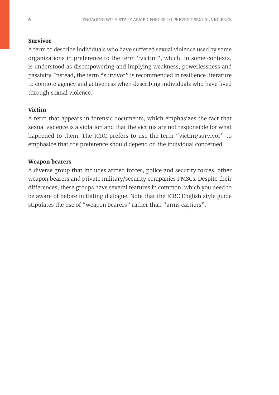#### **Survivor**

A term to describe individuals who have suffered sexual violence used by some organizations in preference to the term "victim", which, in some contexts, is understood as disempowering and implying weakness, powerlessness and passivity. Instead, the term "survivor" is recommended in resilience literature to connote agency and activeness when describing individuals who have lived through sexual violence.

### **Victim**

A term that appears in forensic documents, which emphasizes the fact that sexual violence is a violation and that the victims are not responsible for what happened to them. The ICRC prefers to use the term "victim/survivor" to emphasize that the preference should depend on the individual concerned.

#### **Weapon bearers**

A diverse group that includes armed forces, police and security forces, other weapon bearers and private military/security companies PMSCs. Despite their differences, these groups have several features in common, which you need to be aware of before initiating dialogue. Note that the ICRC English style guide stipulates the use of "weapon bearers" rather than "arms carriers".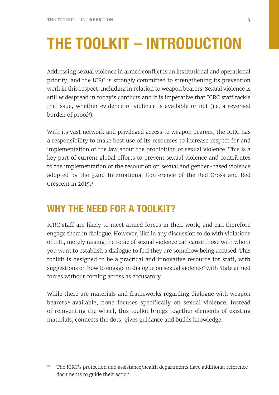# THE TOOLKIT – INTRODUCTION

Addressing sexual violence in armed conflict is an institutional and operational priority, and the ICRC is strongly committed to strengthening its prevention work in this respect, including in relation to weapon bearers. Sexual violence is still widespread in today's conflicts and it is imperative that ICRC staff tackle the issue, whether evidence of violence is available or not (i.e. a reversed burden of  $\text{proof}^2$ ).

With its vast network and privileged access to weapon bearers, the ICRC has a responsibility to make best use of its resources to increase respect for and implementation of the law about the prohibition of sexual violence. This is a key part of current global efforts to prevent sexual violence and contributes to the implementation of the resolution on sexual and gender-based violence adopted by the 32nd International Conference of the Red Cross and Red Crescent in 2015.3

### WHY THE NEED FOR A TOOLKIT?

ICRC staff are likely to meet armed forces in their work, and can therefore engage them in dialogue. However, like in any discussion to do with violations of IHL, merely raising the topic of sexual violence can cause those with whom you want to establish a dialogue to feel they are somehow being accused. This toolkit is designed to be a practical and innovative resource for staff, with suggestions on how to engage in dialogue on sexual violence\* with State armed forces without coming across as accusatory.

While there are materials and frameworks regarding dialogue with weapon bearers <sup>4</sup> available, none focuses specifically on sexual violence. Instead of reinventing the wheel, this toolkit brings together elements of existing materials, connects the dots, gives guidance and builds knowledge.

The ICRC's protection and assistance/health departments have additional reference documents to guide their action.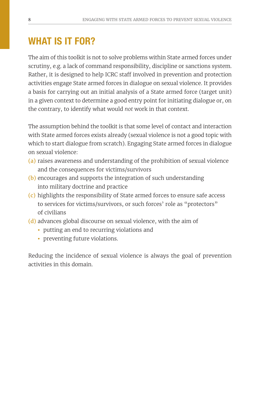# WHAT IS IT FOR?

The aim of this toolkit is not to solve problems within State armed forces under scrutiny, e.g. a lack of command responsibility, discipline or sanctions system. Rather, it is designed to help ICRC staff involved in prevention and protection activities engage State armed forces in dialogue on sexual violence. It provides a basis for carrying out an initial analysis of a State armed force (target unit) in a given context to determine a good entry point for initiating dialogue or, on the contrary, to identify what would *not* work in that context.

The assumption behind the toolkit is that some level of contact and interaction with State armed forces exists already (sexual violence is not a good topic with which to start dialogue from scratch). Engaging State armed forces in dialogue on sexual violence:

- (a) raises awareness and understanding of the prohibition of sexual violence and the consequences for victims/survivors
- (b) encourages and supports the integration of such understanding into military doctrine and practice
- (c) highlights the responsibility of State armed forces to ensure safe access to services for victims/survivors, or such forces' role as "protectors" of civilians
- (d) advances global discourse on sexual violence, with the aim of
	- putting an end to recurring violations and
	- preventing future violations.

Reducing the incidence of sexual violence is always the goal of prevention activities in this domain.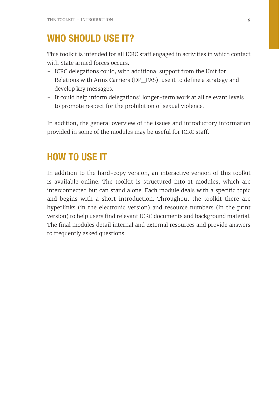### WHO SHOULD USE IT?

This toolkit is intended for all ICRC staff engaged in activities in which contact with State armed forces occurs.

- ICRC delegations could, with additional support from the Unit for Relations with Arms Carriers (DP\_FAS), use it to define a strategy and develop key messages.
- It could help inform delegations' longer-term work at all relevant levels to promote respect for the prohibition of sexual violence.

In addition, the general overview of the issues and introductory information provided in some of the modules may be useful for ICRC staff.

## HOW TO USE IT

In addition to the hard-copy version, an interactive version of this toolkit is available online. The toolkit is structured into 11 modules, which are interconnected but can stand alone. Each module deals with a specific topic and begins with a short introduction. Throughout the toolkit there are hyperlinks (in the electronic version) and resource numbers (in the print version) to help users find relevant ICRC documents and background material. The final modules detail internal and external resources and provide answers to frequently asked questions.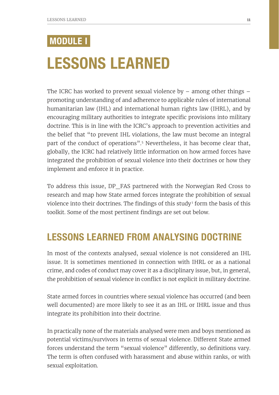# MODULE I

# LESSONS LEARNED

The ICRC has worked to prevent sexual violence by  $-$  among other things  $$ promoting understanding of and adherence to applicable rules of international humanitarian law (IHL) and international human rights law (IHRL), and by encouraging military authorities to integrate specific provisions into military doctrine. This is in line with the ICRC's approach to prevention activities and the belief that "to prevent IHL violations, the law must become an integral part of the conduct of operations".5 Nevertheless, it has become clear that, globally, the ICRC had relatively little information on how armed forces have integrated the prohibition of sexual violence into their doctrines or how they implement and enforce it in practice.

To address this issue, DP\_FAS partnered with the Norwegian Red Cross to research and map how State armed forces integrate the prohibition of sexual violence into their doctrines. The findings of this study<sup>1</sup> form the basis of this toolkit. Some of the most pertinent findings are set out below.

## LESSONS LEARNED FROM ANALYSING DOCTRINE

In most of the contexts analysed, sexual violence is not considered an IHL issue. It is sometimes mentioned in connection with IHRL or as a national crime, and codes of conduct may cover it as a disciplinary issue, but, in general, the prohibition of sexual violence in conflict is not explicit in military doctrine.

State armed forces in countries where sexual violence has occurred (and been well documented) are more likely to see it as an IHL or IHRL issue and thus integrate its prohibition into their doctrine.

In practically none of the materials analysed were men and boys mentioned as potential victims/survivors in terms of sexual violence. Different State armed forces understand the term "sexual violence" differently, so definitions vary. The term is often confused with harassment and abuse within ranks, or with sexual exploitation.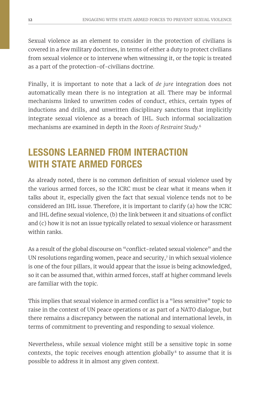Sexual violence as an element to consider in the protection of civilians is covered in a few military doctrines, in terms of either a duty to protect civilians from sexual violence or to intervene when witnessing it, or the topic is treated as a part of the protection-of-civilians doctrine.

Finally, it is important to note that a lack of *de jure* integration does not automatically mean there is no integration at all. There may be informal mechanisms linked to unwritten codes of conduct, ethics, certain types of inductions and drills, and unwritten disciplinary sanctions that implicitly integrate sexual violence as a breach of IHL. Such informal socialization mechanisms are examined in depth in the *Roots of Restraint Study.*<sup>6</sup>

# LESSONS LEARNED FROM INTERACTION WITH STATE ARMED FORCES

As already noted, there is no common definition of sexual violence used by the various armed forces, so the ICRC must be clear what it means when it talks about it, especially given the fact that sexual violence tends not to be considered an IHL issue. Therefore, it is important to clarify (a) how the ICRC and IHL define sexual violence, (b) the link between it and situations of conflict and (c) how it is not an issue typically related to sexual violence or harassment within ranks.

As a result of the global discourse on "conflict-related sexual violence" and the UN resolutions regarding women, peace and security,7 in which sexual violence is one of the four pillars, it would appear that the issue is being acknowledged, so it can be assumed that, within armed forces, staff at higher command levels are familiar with the topic.

This implies that sexual violence in armed conflict is a "less sensitive" topic to raise in the context of UN peace operations or as part of a NATO dialogue, but there remains a discrepancy between the national and international levels, in terms of commitment to preventing and responding to sexual violence.

Nevertheless, while sexual violence might still be a sensitive topic in some contexts, the topic receives enough attention globally<sup>8</sup> to assume that it is possible to address it in almost any given context.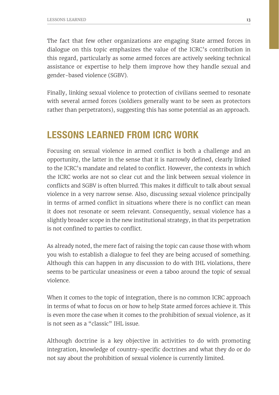The fact that few other organizations are engaging State armed forces in dialogue on this topic emphasizes the value of the ICRC's contribution in this regard, particularly as some armed forces are actively seeking technical assistance or expertise to help them improve how they handle sexual and gender-based violence (SGBV).

Finally, linking sexual violence to protection of civilians seemed to resonate with several armed forces (soldiers generally want to be seen as protectors rather than perpetrators), suggesting this has some potential as an approach.

### LESSONS LEARNED FROM ICRC WORK

Focusing on sexual violence in armed conflict is both a challenge and an opportunity, the latter in the sense that it is narrowly defined, clearly linked to the ICRC's mandate and related to conflict. However, the contexts in which the ICRC works are not so clear cut and the link between sexual violence in conflicts and SGBV is often blurred. This makes it difficult to talk about sexual violence in a very narrow sense. Also, discussing sexual violence principally in terms of armed conflict in situations where there is no conflict can mean it does not resonate or seem relevant. Consequently, sexual violence has a slightly broader scope in the new institutional strategy, in that its perpetration is not confined to parties to conflict.

As already noted, the mere fact of raising the topic can cause those with whom you wish to establish a dialogue to feel they are being accused of something. Although this can happen in any discussion to do with IHL violations, there seems to be particular uneasiness or even a taboo around the topic of sexual violence.

When it comes to the topic of integration, there is no common ICRC approach in terms of what to focus on or how to help State armed forces achieve it. This is even more the case when it comes to the prohibition of sexual violence, as it is not seen as a "classic" IHL issue.

Although doctrine is a key objective in activities to do with promoting integration, knowledge of country-specific doctrines and what they do or do not say about the prohibition of sexual violence is currently limited.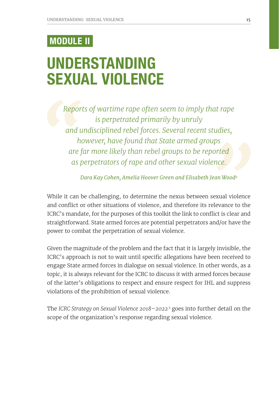# MODULE II

# UNDERSTANDING SEXUAL VIOLENCE

*Reports of wartime rape often seem to imply that rape is perpetrated primarily by unruly and undisciplined rebel forces. Several recent studies, however, have found that State armed groups are far more likely than rebel groups to be reported as perpetrators of rape and other sexual violence.* 

*Dara Kay Cohen, Amelia Hoover Green and Elisabeth Jean Wood <sup>9</sup>*

While it can be challenging, to determine the nexus between sexual violence and conflict or other situations of violence, and therefore its relevance to the ICRC's mandate, for the purposes of this toolkit the link to conflict is clear and straightforward. State armed forces are potential perpetrators and/or have the power to combat the perpetration of sexual violence.

Given the magnitude of the problem and the fact that it is largely invisible, the ICRC's approach is not to wait until specific allegations have been received to engage State armed forces in dialogue on sexual violence. In other words, as a topic, it is always relevant for the ICRC to discuss it with armed forces because of the latter's obligations to respect and ensure respect for IHL and suppress violations of the prohibition of sexual violence.

The *ICRC Strategy on Sexual Violence 2018–2022* 2 goes into further detail on the scope of the organization's response regarding sexual violence.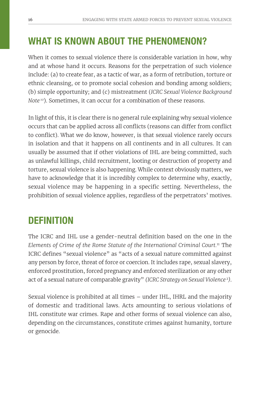## WHAT IS KNOWN ABOUT THE PHENOMENON?

When it comes to sexual violence there is considerable variation in how, why and at whose hand it occurs. Reasons for the perpetration of such violence include: (a) to create fear, as a tactic of war, as a form of retribution, torture or ethnic cleansing, or to promote social cohesion and bonding among soldiers; (b) simple opportunity; and (c) mistreatment (*ICRC Sexual Violence Background Note*<sup>10</sup>). Sometimes, it can occur for a combination of these reasons.

In light of this, it is clear there is no general rule explaining why sexual violence occurs that can be applied across all conflicts (reasons can differ from conflict to conflict). What we do know, however, is that sexual violence rarely occurs in isolation and that it happens on all continents and in all cultures. It can usually be assumed that if other violations of IHL are being committed, such as unlawful killings, child recruitment, looting or destruction of property and torture, sexual violence is also happening. While context obviously matters, we have to acknowledge that it is incredibly complex to determine why, exactly, sexual violence may be happening in a specific setting. Nevertheless, the prohibition of sexual violence applies, regardless of the perpetrators' motives.

## **DEFINITION**

The ICRC and IHL use a gender-neutral definition based on the one in the *Elements of Crime of the Rome Statute of the International Criminal Court.*11 The ICRC defines "sexual violence" as "acts of a sexual nature committed against any person by force, threat of force or coercion. It includes rape, sexual slavery, enforced prostitution, forced pregnancy and enforced sterilization or any other act of a sexual nature of comparable gravity" *(ICRC Strategy on Sexual Violence* <sup>2</sup>*)*.

Sexual violence is prohibited at all times – under IHL, IHRL and the majority of domestic and traditional laws. Acts amounting to serious violations of IHL constitute war crimes. Rape and other forms of sexual violence can also, depending on the circumstances, constitute crimes against humanity, torture or genocide.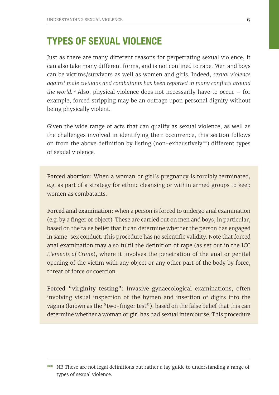## TYPES OF SEXUAL VIOLENCE

Just as there are many different reasons for perpetrating sexual violence, it can also take many different forms, and is not confined to rape. Men and boys can be victims/survivors as well as women and girls. Indeed, *sexual violence against male civilians and combatants has been reported in many conflicts around the world.*12 Also, physical violence does not necessarily have to occur – for example, forced stripping may be an outrage upon personal dignity without being physically violent.

Given the wide range of acts that can qualify as sexual violence, as well as the challenges involved in identifying their occurrence, this section follows on from the above definition by listing (non-exhaustively \*\*) different types of sexual violence.

Forced abortion: When a woman or girl's pregnancy is forcibly terminated, e.g. as part of a strategy for ethnic cleansing or within armed groups to keep women as combatants.

Forced anal examination: When a person is forced to undergo anal examination (e.g. by a finger or object). These are carried out on men and boys, in particular, based on the false belief that it can determine whether the person has engaged in same-sex conduct. This procedure has no scientific validity. Note that forced anal examination may also fulfil the definition of rape (as set out in the ICC *Elements of Crime*), where it involves the penetration of the anal or genital opening of the victim with any object or any other part of the body by force, threat of force or coercion.

Forced "virginity testing": Invasive gynaecological examinations, often involving visual inspection of the hymen and insertion of digits into the vagina (known as the "two-finger test"), based on the false belief that this can determine whether a woman or girl has had sexual intercourse. This procedure

<sup>\*\*</sup> NB These are not legal definitions but rather a lay guide to understanding a range of types of sexual violence.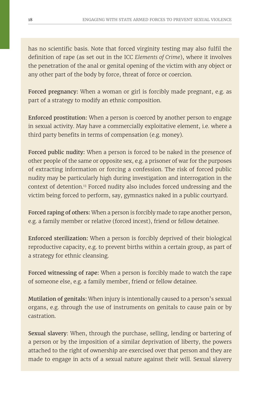has no scientific basis. Note that forced virginity testing may also fulfil the definition of rape (as set out in the ICC *Elements of Crime*), where it involves the penetration of the anal or genital opening of the victim with any object or any other part of the body by force, threat of force or coercion.

Forced pregnancy: When a woman or girl is forcibly made pregnant, e.g. as part of a strategy to modify an ethnic composition.

Enforced prostitution: When a person is coerced by another person to engage in sexual activity. May have a commercially exploitative element, i.e. where a third party benefits in terms of compensation (e.g. money).

Forced public nudity: When a person is forced to be naked in the presence of other people of the same or opposite sex, e.g. a prisoner of war for the purposes of extracting information or forcing a confession. The risk of forced public nudity may be particularly high during investigation and interrogation in the context of detention.13 Forced nudity also includes forced undressing and the victim being forced to perform, say, gymnastics naked in a public courtyard.

Forced raping of others: When a person is forcibly made to rape another person, e.g. a family member or relative (forced incest), friend or fellow detainee.

Enforced sterilization: When a person is forcibly deprived of their biological reproductive capacity, e.g. to prevent births within a certain group, as part of a strategy for ethnic cleansing.

Forced witnessing of rape: When a person is forcibly made to watch the rape of someone else, e.g. a family member, friend or fellow detainee.

Mutilation of genitals: When injury is intentionally caused to a person's sexual organs, e.g. through the use of instruments on genitals to cause pain or by castration.

Sexual slavery: When, through the purchase, selling, lending or bartering of a person or by the imposition of a similar deprivation of liberty, the powers attached to the right of ownership are exercised over that person and they are made to engage in acts of a sexual nature against their will. Sexual slavery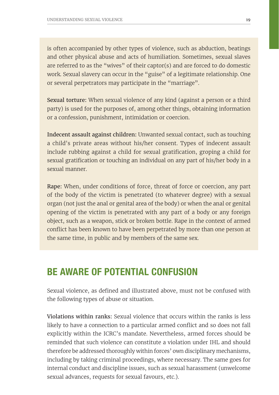is often accompanied by other types of violence, such as abduction, beatings and other physical abuse and acts of humiliation. Sometimes, sexual slaves are referred to as the "wives" of their captor(s) and are forced to do domestic work. Sexual slavery can occur in the "guise" of a legitimate relationship. One or several perpetrators may participate in the "marriage".

Sexual torture: When sexual violence of any kind (against a person or a third party) is used for the purposes of, among other things, obtaining information or a confession, punishment, intimidation or coercion.

Indecent assault against children: Unwanted sexual contact, such as touching a child's private areas without his/her consent. Types of indecent assault include rubbing against a child for sexual gratification, groping a child for sexual gratification or touching an individual on any part of his/her body in a sexual manner.

Rape: When, under conditions of force, threat of force or coercion, any part of the body of the victim is penetrated (to whatever degree) with a sexual organ (not just the anal or genital area of the body) or when the anal or genital opening of the victim is penetrated with any part of a body or any foreign object, such as a weapon, stick or broken bottle. Rape in the context of armed conflict has been known to have been perpetrated by more than one person at the same time, in public and by members of the same sex.

### BE AWARE OF POTENTIAL CONFUSION

Sexual violence, as defined and illustrated above, must not be confused with the following types of abuse or situation.

Violations within ranks: Sexual violence that occurs within the ranks is less likely to have a connection to a particular armed conflict and so does not fall explicitly within the ICRC's mandate. Nevertheless, armed forces should be reminded that such violence can constitute a violation under IHL and should therefore be addressed thoroughly within forces' own disciplinary mechanisms, including by taking criminal proceedings, where necessary. The same goes for internal conduct and discipline issues, such as sexual harassment (unwelcome sexual advances, requests for sexual favours, etc.).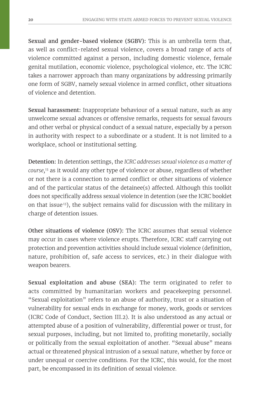Sexual and gender-based violence (SGBV): This is an umbrella term that, as well as conflict-related sexual violence, covers a broad range of acts of violence committed against a person, including domestic violence, female genital mutilation, economic violence, psychological violence, etc. The ICRC takes a narrower approach than many organizations by addressing primarily one form of SGBV, namely sexual violence in armed conflict, other situations of violence and detention.

Sexual harassment: Inappropriate behaviour of a sexual nature, such as any unwelcome sexual advances or offensive remarks, requests for sexual favours and other verbal or physical conduct of a sexual nature, especially by a person in authority with respect to a subordinate or a student. It is not limited to a workplace, school or institutional setting.

Detention: In detention settings, the *ICRC addresses sexual violence as a matter of course,*13 as it would any other type of violence or abuse, regardless of whether or not there is a connection to armed conflict or other situations of violence and of the particular status of the detainee(s) affected. Although this toolkit does not specifically address sexual violence in detention (see the ICRC booklet on that issue<sup>13</sup>), the subject remains valid for discussion with the military in charge of detention issues.

Other situations of violence (OSV): The ICRC assumes that sexual violence may occur in cases where violence erupts. Therefore, ICRC staff carrying out protection and prevention activities should include sexual violence (definition, nature, prohibition of, safe access to services, etc.) in their dialogue with weapon bearers.

Sexual exploitation and abuse (SEA): The term originated to refer to acts committed by humanitarian workers and peacekeeping personnel. "Sexual exploitation" refers to an abuse of authority, trust or a situation of vulnerability for sexual ends in exchange for money, work, goods or services (ICRC Code of Conduct, Section III.2). It is also understood as any actual or attempted abuse of a position of vulnerability, differential power or trust, for sexual purposes, including, but not limited to, profiting monetarily, socially or politically from the sexual exploitation of another. "Sexual abuse" means actual or threatened physical intrusion of a sexual nature, whether by force or under unequal or coercive conditions. For the ICRC, this would, for the most part, be encompassed in its definition of sexual violence.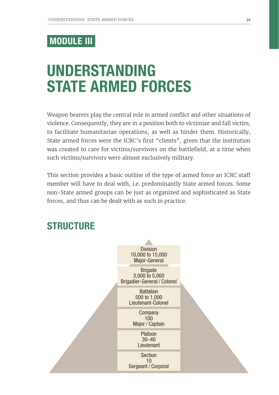## MODULE III

# UNDERSTANDING STATE ARMED FORCES

Weapon bearers play the central role in armed conflict and other situations of violence. Consequently, they are in a position both to victimize and fall victim, to facilitate humanitarian operations, as well as hinder them. Historically, State armed forces were the ICRC's first "clients", given that the institution was created to care for victims/survivors on the battlefield, at a time when such victims/survivors were almost exclusively military.

This section provides a basic outline of the type of armed force an ICRC staff member will have to deal with, i.e. predominantly State armed forces. Some non-State armed groups can be just as organized and sophisticated as State forces, and thus can be dealt with as such in practice.

### **STRUCTURE**

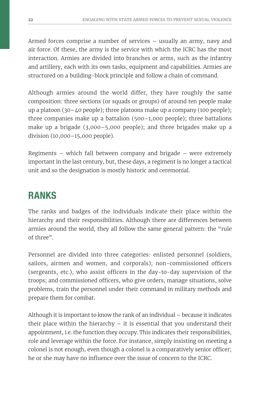Armed forces comprise a number of services – usually an army, navy and air force. Of these, the army is the service with which the ICRC has the most interaction. Armies are divided into branches or arms, such as the infantry and artillery, each with its own tasks, equipment and capabilities. Armies are structured on a building-block principle and follow a chain of command.

Although armies around the world differ, they have roughly the same composition: three sections (or squads or groups) of around ten people make up a platoon (30–40 people); three platoons make up a company (100 people); three companies make up a battalion (500–1,000 people); three battalions make up a brigade (3,000–5,000 people); and three brigades make up a division (10,000–15,000 people).

Regiments – which fall between company and brigade – were extremely important in the last century, but, these days, a regiment is no longer a tactical unit and so the designation is mostly historic and ceremonial.

## RANKS

The ranks and badges of the individuals indicate their place within the hierarchy and their responsibilities. Although there are differences between armies around the world, they all follow the same general pattern: the "rule of three".

Personnel are divided into three categories: enlisted personnel (soldiers, sailors, airmen and women, and corporals); non-commissioned officers (sergeants, etc.), who assist officers in the day-to-day supervision of the troops; and commissioned officers, who give orders, manage situations, solve problems, train the personnel under their command in military methods and prepare them for combat.

Although it is important to know the rank of an individual – because it indicates their place within the hierarchy – it is essential that you understand their appointment, i.e. the function they occupy. This indicates their responsibilities, role and leverage within the force. For instance, simply insisting on meeting a colonel is not enough, even though a colonel is a comparatively senior officer; he or she may have no influence over the issue of concern to the ICRC.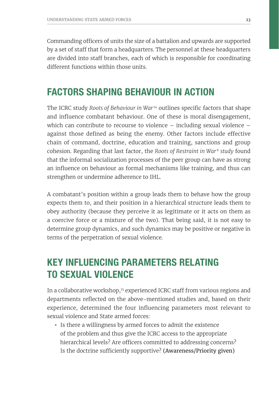Commanding officers of units the size of a battalion and upwards are supported by a set of staff that form a headquarters. The personnel at these headquarters are divided into staff branches, each of which is responsible for coordinating different functions within those units.

### FACTORS SHAPING BEHAVIOUR IN ACTION

The ICRC study *Roots of Behaviour in War<sup>14</sup>* outlines specific factors that shape and influence combatant behaviour. One of these is moral disengagement, which can contribute to recourse to violence – including sexual violence – against those defined as being the enemy. Other factors include effective chain of command, doctrine, education and training, sanctions and group cohesion. Regarding that last factor, the *Roots of Restraint in War<sup>6</sup> study* found that the informal socialization processes of the peer group can have as strong an influence on behaviour as formal mechanisms like training, and thus can strengthen or undermine adherence to IHL.

A combatant's position within a group leads them to behave how the group expects them to, and their position in a hierarchical structure leads them to obey authority (because they perceive it as legitimate or it acts on them as a coercive force or a mixture of the two). That being said, it is not easy to determine group dynamics, and such dynamics may be positive or negative in terms of the perpetration of sexual violence.

## KEY INFLUENCING PARAMETERS RELATING TO SEXUAL VIOLENCE

In a collaborative workshop,<sup>15</sup> experienced ICRC staff from various regions and departments reflected on the above-mentioned studies and, based on their experience, determined the four influencing parameters most relevant to sexual violence and State armed forces:

• Is there a willingness by armed forces to admit the existence of the problem and thus give the ICRC access to the appropriate hierarchical levels? Are officers committed to addressing concerns? Is the doctrine sufficiently supportive? (Awareness/Priority given)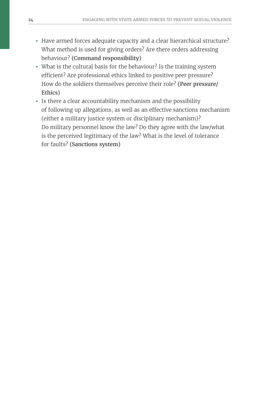- Have armed forces adequate capacity and a clear hierarchical structure? What method is used for giving orders? Are there orders addressing behaviour? (Command responsibility)
- What is the cultural basis for the behaviour? Is the training system efficient? Are professional ethics linked to positive peer pressure? How do the soldiers themselves perceive their role? (Peer pressure/ Ethics)
- Is there a clear accountability mechanism and the possibility of following up allegations, as well as an effective sanctions mechanism (either a military justice system or disciplinary mechanism)? Do military personnel know the law? Do they agree with the law/what is the perceived legitimacy of the law? What is the level of tolerance for faults? (Sanctions system)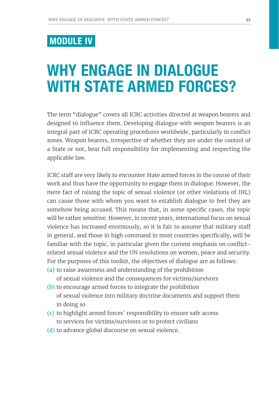## MODULE IV

# WHY ENGAGE IN DIALOGUE WITH STATE ARMED FORCES?

The term "dialogue" covers all ICRC activities directed at weapon bearers and designed to influence them. Developing dialogue with weapon bearers is an integral part of ICRC operating procedures worldwide, particularly in conflict zones. Weapon bearers, irrespective of whether they are under the control of a State or not, bear full responsibility for implementing and respecting the applicable law.

ICRC staff are very likely to encounter State armed forces in the course of their work and thus have the opportunity to engage them in dialogue. However, the mere fact of raising the topic of sexual violence (or other violations of IHL) can cause those with whom you want to establish dialogue to feel they are somehow being accused. This means that, in some specific cases, the topic will be rather sensitive. However, in recent years, international focus on sexual violence has increased enormously, so it is fair to assume that military staff in general, and those in high command in most countries specifically, will be familiar with the topic, in particular given the current emphasis on conflictrelated sexual violence and the UN resolutions on women, peace and security. For the purposes of this toolkit, the objectives of dialogue are as follows:

- (a) to raise awareness and understanding of the prohibition
	- of sexual violence and the consequences for victims/survivors
- (b) to encourage armed forces to integrate the prohibition of sexual violence into military doctrine documents and support them in doing so
- (c) to highlight armed forces' responsibility to ensure safe access to services for victims/survivors or to protect civilians
- (d) to advance global discourse on sexual violence.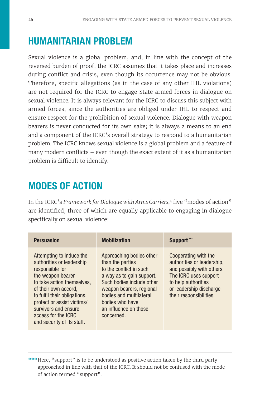# HUMANITARIAN PROBLEM

Sexual violence is a global problem, and, in line with the concept of the reversed burden of proof, the ICRC assumes that it takes place and increases during conflict and crisis, even though its occurrence may not be obvious. Therefore, specific allegations (as in the case of any other IHL violations) are not required for the ICRC to engage State armed forces in dialogue on sexual violence. It is always relevant for the ICRC to discuss this subject with armed forces, since the authorities are obliged under IHL to respect and ensure respect for the prohibition of sexual violence. Dialogue with weapon bearers is never conducted for its own sake; it is always a means to an end and a component of the ICRC's overall strategy to respond to a humanitarian problem. The ICRC knows sexual violence is a global problem and a feature of many modern conflicts – even though the exact extent of it as a humanitarian problem is difficult to identify.

# MODES OF ACTION

In the ICRC's *Framework for Dialogue with Arms Carriers,*<sup>4</sup> five "modes of action" are identified, three of which are equally applicable to engaging in dialogue specifically on sexual violence:

| <b>Persuasion</b>                                                                                                                                                                                                                                                                              | <b>Mobilization</b>                                                                                                                                                                                                                                | Support***                                                                                                                                                                            |
|------------------------------------------------------------------------------------------------------------------------------------------------------------------------------------------------------------------------------------------------------------------------------------------------|----------------------------------------------------------------------------------------------------------------------------------------------------------------------------------------------------------------------------------------------------|---------------------------------------------------------------------------------------------------------------------------------------------------------------------------------------|
| Attempting to induce the<br>authorities or leadership<br>responsible for<br>the weapon bearer<br>to take action themselves.<br>of their own accord.<br>to fulfil their obligations,<br>protect or assist victims/<br>survivors and ensure<br>access for the ICRC<br>and security of its staff. | Approaching bodies other<br>than the parties<br>to the conflict in such<br>a way as to gain support.<br>Such bodies include other<br>weapon bearers, regional<br>bodies and multilateral<br>bodies who have<br>an influence on those<br>concerned. | Cooperating with the<br>authorities or leadership,<br>and possibly with others.<br>The ICRC uses support<br>to help authorities<br>or leadership discharge<br>their responsibilities. |

\*\*\*Here, "support" is to be understood as positive action taken by the third party approached in line with that of the ICRC. It should not be confused with the mode of action termed "support".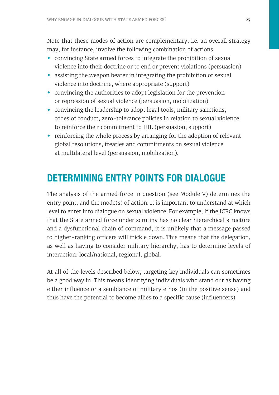Note that these modes of action are complementary, i.e. an overall strategy may, for instance, involve the following combination of actions:

- convincing State armed forces to integrate the prohibition of sexual violence into their doctrine or to end or prevent violations (persuasion)
- assisting the weapon bearer in integrating the prohibition of sexual violence into doctrine, where appropriate (support)
- convincing the authorities to adopt legislation for the prevention or repression of sexual violence (persuasion, mobilization)
- convincing the leadership to adopt legal tools, military sanctions, codes of conduct, zero-tolerance policies in relation to sexual violence to reinforce their commitment to IHL (persuasion, support)
- reinforcing the whole process by arranging for the adoption of relevant global resolutions, treaties and commitments on sexual violence at multilateral level (persuasion, mobilization).

## DETERMINING ENTRY POINTS FOR DIALOGUE

The analysis of the armed force in question (see Module V) determines the entry point, and the mode(s) of action. It is important to understand at which level to enter into dialogue on sexual violence. For example, if the ICRC knows that the State armed force under scrutiny has no clear hierarchical structure and a dysfunctional chain of command, it is unlikely that a message passed to higher-ranking officers will trickle down. This means that the delegation, as well as having to consider military hierarchy, has to determine levels of interaction: local/national, regional, global.

At all of the levels described below, targeting key individuals can sometimes be a good way in. This means identifying individuals who stand out as having either influence or a semblance of military ethos (in the positive sense) and thus have the potential to become allies to a specific cause (influencers).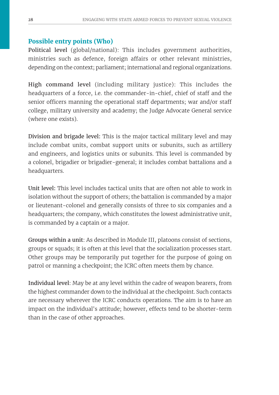### **Possible entry points (Who)**

Political level (global/national): This includes government authorities, ministries such as defence, foreign affairs or other relevant ministries, depending on the context; parliament; international and regional organizations.

High command level (including military justice): This includes the headquarters of a force, i.e. the commander-in-chief, chief of staff and the senior officers manning the operational staff departments; war and/or staff college, military university and academy; the Judge Advocate General service (where one exists).

Division and brigade level: This is the major tactical military level and may include combat units, combat support units or subunits, such as artillery and engineers, and logistics units or subunits. This level is commanded by a colonel, brigadier or brigadier-general; it includes combat battalions and a headquarters.

Unit level: This level includes tactical units that are often not able to work in isolation without the support of others; the battalion is commanded by a major or lieutenant-colonel and generally consists of three to six companies and a headquarters; the company, which constitutes the lowest administrative unit, is commanded by a captain or a major.

Groups within a unit: As described in Module III, platoons consist of sections, groups or squads; it is often at this level that the socialization processes start. Other groups may be temporarily put together for the purpose of going on patrol or manning a checkpoint; the ICRC often meets them by chance.

Individual level: May be at any level within the cadre of weapon bearers, from the highest commander down to the individual at the checkpoint. Such contacts are necessary wherever the ICRC conducts operations. The aim is to have an impact on the individual's attitude; however, effects tend to be shorter-term than in the case of other approaches.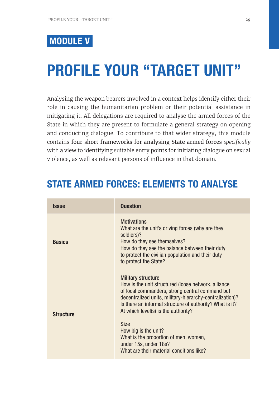## MODULE V

# PROFILE YOUR "TARGET UNIT"

Analysing the weapon bearers involved in a context helps identify either their role in causing the humanitarian problem or their potential assistance in mitigating it. All delegations are required to analyse the armed forces of the State in which they are present to formulate a general strategy on opening and conducting dialogue. To contribute to that wider strategy, this module contains four short frameworks for analysing State armed forces *specifically* with a view to identifying suitable entry points for initiating dialogue on sexual violence, as well as relevant persons of influence in that domain.

### STATE ARMED FORCES: FI EMENTS TO ANALYSE

| <i><b>Issue</b></i> | <b>Question</b>                                                                                                                                                                                                                                                                                                                                                                                                                                         |
|---------------------|---------------------------------------------------------------------------------------------------------------------------------------------------------------------------------------------------------------------------------------------------------------------------------------------------------------------------------------------------------------------------------------------------------------------------------------------------------|
| <b>Basics</b>       | <b>Motivations</b><br>What are the unit's driving forces (why are they<br>soldiers)?<br>How do they see themselves?<br>How do they see the balance between their duty<br>to protect the civilian population and their duty<br>to protect the State?                                                                                                                                                                                                     |
| <b>Structure</b>    | <b>Military structure</b><br>How is the unit structured (loose network, alliance<br>of local commanders, strong central command but<br>decentralized units, military-hierarchy-centralization)?<br>Is there an informal structure of authority? What is it?<br>At which level(s) is the authority?<br><b>Size</b><br>How big is the unit?<br>What is the proportion of men, women,<br>under 15s, under 18s?<br>What are their material conditions like? |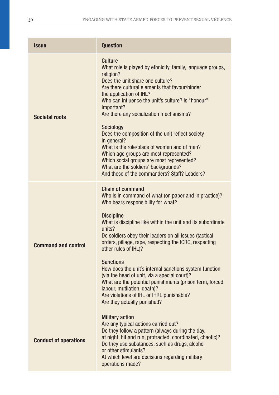| <b>Issue</b>                 | <b>Question</b>                                                                                                                                                                                                                                                                                                                                                                                                                                                                                                                                                                                                                                                      |
|------------------------------|----------------------------------------------------------------------------------------------------------------------------------------------------------------------------------------------------------------------------------------------------------------------------------------------------------------------------------------------------------------------------------------------------------------------------------------------------------------------------------------------------------------------------------------------------------------------------------------------------------------------------------------------------------------------|
| <b>Societal roots</b>        | Culture<br>What role is played by ethnicity, family, language groups,<br>religion?<br>Does the unit share one culture?<br>Are there cultural elements that favour/hinder<br>the application of IHL?<br>Who can influence the unit's culture? Is "honour"<br>important?<br>Are there any socialization mechanisms?<br>Sociology<br>Does the composition of the unit reflect society<br>in general?<br>What is the role/place of women and of men?<br>Which age groups are most represented?<br>Which social groups are most represented?<br>What are the soldiers' backgrounds?<br>And those of the commanders? Staff? Leaders?                                       |
| <b>Command and control</b>   | <b>Chain of command</b><br>Who is in command of what (on paper and in practice)?<br>Who bears responsibility for what?<br><b>Discipline</b><br>What is discipline like within the unit and its subordinate<br>units?<br>Do soldiers obey their leaders on all issues (tactical<br>orders, pillage, rape, respecting the ICRC, respecting<br>other rules of IHL)?<br><b>Sanctions</b><br>How does the unit's internal sanctions system function<br>(via the head of unit, via a special court)?<br>What are the potential punishments (prison term, forced<br>labour, mutilation, death)?<br>Are violations of IHL or IHRL punishable?<br>Are they actually punished? |
| <b>Conduct of operations</b> | <b>Military action</b><br>Are any typical actions carried out?<br>Do they follow a pattern (always during the day,<br>at night, hit and run, protracted, coordinated, chaotic)?<br>Do they use substances, such as drugs, alcohol<br>or other stimulants?<br>At which level are decisions regarding military<br>operations made?                                                                                                                                                                                                                                                                                                                                     |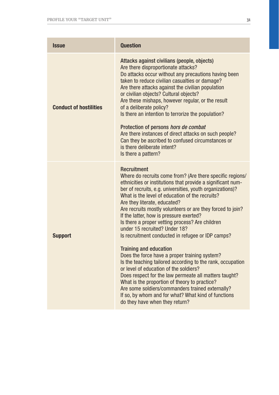| <b>Issue</b>                  | <b>Question</b>                                                                                                                                                                                                                                                                                                                                                                                                                                                                                                                                                                                                                                                                                                                                                                                                                                                                                                                                                                                   |
|-------------------------------|---------------------------------------------------------------------------------------------------------------------------------------------------------------------------------------------------------------------------------------------------------------------------------------------------------------------------------------------------------------------------------------------------------------------------------------------------------------------------------------------------------------------------------------------------------------------------------------------------------------------------------------------------------------------------------------------------------------------------------------------------------------------------------------------------------------------------------------------------------------------------------------------------------------------------------------------------------------------------------------------------|
| <b>Conduct of hostilities</b> | Attacks against civilians (people, objects)<br>Are there disproportionate attacks?<br>Do attacks occur without any precautions having been<br>taken to reduce civilian casualties or damage?<br>Are there attacks against the civilian population<br>or civilian objects? Cultural objects?<br>Are these mishaps, however regular, or the result<br>of a deliberate policy?<br>Is there an intention to terrorize the population?<br>Protection of persons hors de combat<br>Are there instances of direct attacks on such people?<br>Can they be ascribed to confused circumstances or<br>is there deliberate intent?<br>Is there a pattern?                                                                                                                                                                                                                                                                                                                                                     |
| <b>Support</b>                | <b>Recruitment</b><br>Where do recruits come from? (Are there specific regions/<br>ethnicities or institutions that provide a significant num-<br>ber of recruits, e.g. universities, youth organizations)?<br>What is the level of education of the recruits?<br>Are they literate, educated?<br>Are recruits mostly volunteers or are they forced to join?<br>If the latter, how is pressure exerted?<br>Is there a proper vetting process? Are children<br>under 15 recruited? Under 18?<br>Is recruitment conducted in refugee or IDP camps?<br><b>Training and education</b><br>Does the force have a proper training system?<br>Is the teaching tailored according to the rank, occupation<br>or level of education of the soldiers?<br>Does respect for the law permeate all matters taught?<br>What is the proportion of theory to practice?<br>Are some soldiers/commanders trained externally?<br>If so, by whom and for what? What kind of functions<br>do they have when they return? |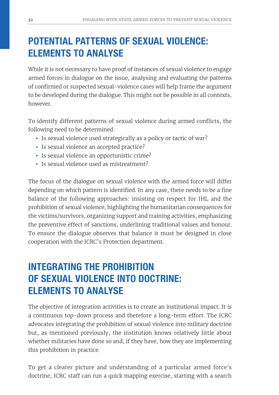# POTENTIAL PATTERNS OF SEXUAL VIOLENCE: ELEMENTS TO ANALYSE

While it is not necessary to have proof of instances of sexual violence to engage armed forces in dialogue on the issue, analysing and evaluating the patterns of confirmed or suspected sexual-violence cases will help frame the argument to be developed during the dialogue. This might not be possible in all contexts, however.

To identify different patterns of sexual violence during armed conflicts, the following need to be determined:

- Is sexual violence used strategically as a policy or tactic of war?
- Is sexual violence an accepted practice?
- Is sexual violence an opportunistic crime?
- Is sexual violence used as mistreatment?

The focus of the dialogue on sexual violence with the armed force will differ depending on which pattern is identified. In any case, there needs to be a fine balance of the following approaches: insisting on respect for IHL and the prohibition of sexual violence, highlighting the humanitarian consequences for the victims/survivors, organizing support and training activities, emphasizing the preventive effect of sanctions, underlining traditional values and honour. To ensure the dialogue observes that balance it must be designed in close cooperation with the ICRC's Protection department.

# INTEGRATING THE PROHIBITION OF SEXUAL VIOLENCE INTO DOCTRINE: ELEMENTS TO ANALYSE

The objective of integration activities is to create an institutional impact. It is a continuous top-down process and therefore a long-term effort. The ICRC advocates integrating the prohibition of sexual violence into military doctrine but, as mentioned previously, the institution knows relatively little about whether militaries have done so and, if they have, how they are implementing this prohibition in practice.

To get a clearer picture and understanding of a particular armed force's doctrine, ICRC staff can run a quick mapping exercise, starting with a search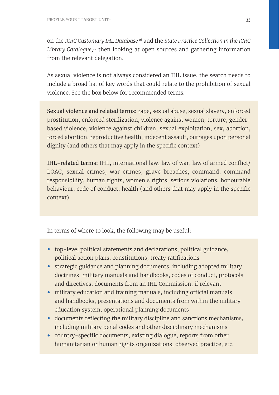on the *ICRC Customary IHL Database*16 and the *State Practice Collection in the ICRC Library Catalogue,17* then looking at open sources and gathering information from the relevant delegation.

As sexual violence is not always considered an IHL issue, the search needs to include a broad list of key words that could relate to the prohibition of sexual violence. See the box below for recommended terms.

Sexual violence and related terms: rape, sexual abuse, sexual slavery, enforced prostitution, enforced sterilization, violence against women, torture, genderbased violence, violence against children, sexual exploitation, sex, abortion, forced abortion, reproductive health, indecent assault, outrages upon personal dignity (and others that may apply in the specific context)

IHL-related terms: IHL, international law, law of war, law of armed conflict/ LOAC, sexual crimes, war crimes, grave breaches, command, command responsibility, human rights, women's rights, serious violations, honourable behaviour, code of conduct, health (and others that may apply in the specific context)

In terms of where to look, the following may be useful:

- top-level political statements and declarations, political guidance, political action plans, constitutions, treaty ratifications
- strategic guidance and planning documents, including adopted military doctrines, military manuals and handbooks, codes of conduct, protocols and directives, documents from an IHL Commission, if relevant
- military education and training manuals, including official manuals and handbooks, presentations and documents from within the military education system, operational planning documents
- documents reflecting the military discipline and sanctions mechanisms, including military penal codes and other disciplinary mechanisms
- country-specific documents, existing dialogue, reports from other humanitarian or human rights organizations, observed practice, etc.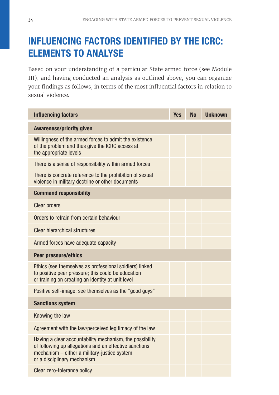# INFLUENCING FACTORS IDENTIFIED BY THE ICRC: ELEMENTS TO ANALYSE

Based on your understanding of a particular State armed force (see Module III), and having conducted an analysis as outlined above, you can organize your findings as follows, in terms of the most influential factors in relation to sexual violence.

| <b>Influencing factors</b>                                                                                                                                                                        | <b>Yes</b> | <b>No</b> | <b>Unknown</b> |
|---------------------------------------------------------------------------------------------------------------------------------------------------------------------------------------------------|------------|-----------|----------------|
| <b>Awareness/priority given</b>                                                                                                                                                                   |            |           |                |
| Willingness of the armed forces to admit the existence<br>of the problem and thus give the ICRC access at<br>the appropriate levels                                                               |            |           |                |
| There is a sense of responsibility within armed forces                                                                                                                                            |            |           |                |
| There is concrete reference to the prohibition of sexual<br>violence in military doctrine or other documents                                                                                      |            |           |                |
| <b>Command responsibility</b>                                                                                                                                                                     |            |           |                |
| <b>Clear orders</b>                                                                                                                                                                               |            |           |                |
| Orders to refrain from certain behaviour                                                                                                                                                          |            |           |                |
| Clear hierarchical structures                                                                                                                                                                     |            |           |                |
| Armed forces have adequate capacity                                                                                                                                                               |            |           |                |
| <b>Peer pressure/ethics</b>                                                                                                                                                                       |            |           |                |
| Ethics (see themselves as professional soldiers) linked<br>to positive peer pressure; this could be education<br>or training on creating an identity at unit level                                |            |           |                |
| Positive self-image; see themselves as the "good guys"                                                                                                                                            |            |           |                |
| <b>Sanctions system</b>                                                                                                                                                                           |            |           |                |
| Knowing the law                                                                                                                                                                                   |            |           |                |
| Agreement with the law/perceived legitimacy of the law                                                                                                                                            |            |           |                |
| Having a clear accountability mechanism, the possibility<br>of following up allegations and an effective sanctions<br>mechanism - either a military-justice system<br>or a disciplinary mechanism |            |           |                |
| Clear zero-tolerance policy                                                                                                                                                                       |            |           |                |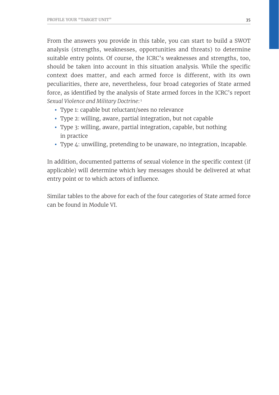From the answers you provide in this table, you can start to build a SWOT analysis (strengths, weaknesses, opportunities and threats) to determine suitable entry points. Of course, the ICRC's weaknesses and strengths, too, should be taken into account in this situation analysis. While the specific context does matter, and each armed force is different, with its own peculiarities, there are, nevertheless, four broad categories of State armed force, as identified by the analysis of State armed forces in the ICRC's report *Sexual Violence and Military Doctrine*: <sup>1</sup>

- Type 1: capable but reluctant/sees no relevance
- Type 2: willing, aware, partial integration, but not capable
- Type 3: willing, aware, partial integration, capable, but nothing in practice
- Type 4: unwilling, pretending to be unaware, no integration, incapable.

In addition, documented patterns of sexual violence in the specific context (if applicable) will determine which key messages should be delivered at what entry point or to which actors of influence.

Similar tables to the above for each of the four categories of State armed force can be found in Module VI.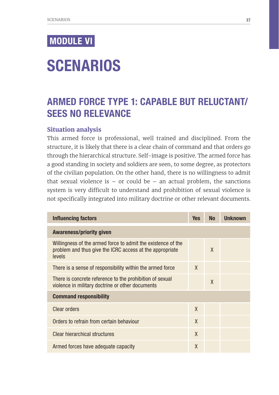## MODULE VI

# **SCENARIOS**

## ARMED FORCE TYPE 1: CAPABLE BUT RELUCTANT/ SEES NO RELEVANCE

#### **Situation analysis**

This armed force is professional, well trained and disciplined. From the structure, it is likely that there is a clear chain of command and that orders go through the hierarchical structure. Self-image is positive. The armed force has a good standing in society and soldiers are seen, to some degree, as protectors of the civilian population. On the other hand, there is no willingness to admit that sexual violence is  $-$  or could be  $-$  an actual problem, the sanctions system is very difficult to understand and prohibition of sexual violence is not specifically integrated into military doctrine or other relevant documents.

| Influencing factors                                                                                                                | <b>Yes</b> | <b>No</b> | <b>Unknown</b> |
|------------------------------------------------------------------------------------------------------------------------------------|------------|-----------|----------------|
| <b>Awareness/priority given</b>                                                                                                    |            |           |                |
| Willingness of the armed force to admit the existence of the<br>problem and thus give the ICRC access at the appropriate<br>levels |            | X         |                |
| There is a sense of responsibility within the armed force                                                                          | X          |           |                |
| There is concrete reference to the prohibition of sexual<br>violence in military doctrine or other documents                       |            | $\chi$    |                |
| <b>Command responsibility</b>                                                                                                      |            |           |                |
| <b>Clear orders</b>                                                                                                                | X          |           |                |
| Orders to refrain from certain behaviour                                                                                           | X          |           |                |
| Clear hierarchical structures                                                                                                      | X          |           |                |
| Armed forces have adequate capacity                                                                                                | X          |           |                |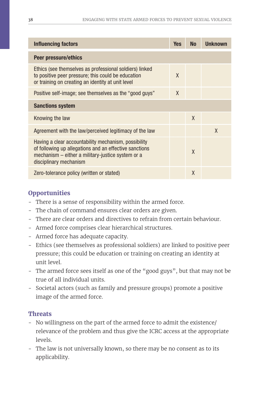| Influencing factors                                                                                                                                                                           | <b>Yes</b> | <b>No</b> | Unknown |
|-----------------------------------------------------------------------------------------------------------------------------------------------------------------------------------------------|------------|-----------|---------|
| Peer pressure/ethics                                                                                                                                                                          |            |           |         |
| Ethics (see themselves as professional soldiers) linked<br>to positive peer pressure; this could be education<br>or training on creating an identity at unit level                            | X          |           |         |
| Positive self-image; see themselves as the "good guys"                                                                                                                                        | $\chi$     |           |         |
| <b>Sanctions system</b>                                                                                                                                                                       |            |           |         |
| Knowing the law                                                                                                                                                                               |            | $\chi$    |         |
| Agreement with the law/perceived legitimacy of the law                                                                                                                                        |            |           | X       |
| Having a clear accountability mechanism, possibility<br>of following up allegations and an effective sanctions<br>mechanism – either a military-justice system or a<br>disciplinary mechanism |            | $\chi$    |         |
| Zero-tolerance policy (written or stated)                                                                                                                                                     |            | X         |         |

## **Opportunities**

- There is a sense of responsibility within the armed force.
- The chain of command ensures clear orders are given.
- There are clear orders and directives to refrain from certain behaviour.
- Armed force comprises clear hierarchical structures.
- Armed force has adequate capacity.
- Ethics (see themselves as professional soldiers) are linked to positive peer pressure; this could be education or training on creating an identity at unit level.
- The armed force sees itself as one of the "good guys", but that may not be true of all individual units.
- Societal actors (such as family and pressure groups) promote a positive image of the armed force.

### **Threats**

- No willingness on the part of the armed force to admit the existence/ relevance of the problem and thus give the ICRC access at the appropriate levels.
- The law is not universally known, so there may be no consent as to its applicability.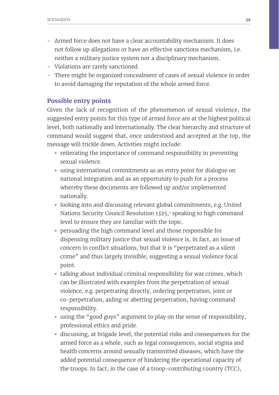- Armed force does not have a clear accountability mechanism. It does not follow up allegations or have an effective sanctions mechanism, i.e. neither a military justice system nor a disciplinary mechanism.
- Violations are rarely sanctioned.
- There might be organized concealment of cases of sexual violence in order to avoid damaging the reputation of the whole armed force.

### **Possible entry points**

Given the lack of recognition of the phenomenon of sexual violence, the suggested entry points for this type of armed force are at the highest political level, both nationally and internationally. The clear hierarchy and structure of command would suggest that, once understood and accepted at the top, the message will trickle down. Activities might include:

- reiterating the importance of command responsibility in preventing sexual violence.
- using international commitments as an entry point for dialogue on national integration and as an opportunity to push for a process whereby these documents are followed up and/or implemented nationally.
- looking into and discussing relevant global commitments, e.g. United Nations Security Council Resolution 1325,7 speaking to high command level to ensure they are familiar with the topic.
- persuading the high command level and those responsible for dispensing military justice that sexual violence is, in fact, an issue of concern in conflict situations, but that it is "perpetrated as a silent crime" and thus largely invisible; suggesting a sexual violence focal point.
- talking about individual criminal responsibility for war crimes, which can be illustrated with examples from the perpetration of sexual violence, e.g. perpetrating directly, ordering perpetration, joint or co-perpetration, aiding or abetting perpetration, having command responsibility.
- using the "good guys" argument to play on the sense of responsibility, professional ethics and pride.
- discussing, at brigade level, the potential risks and consequences for the armed force as a whole, such as legal consequences, social stigma and health concerns around sexually transmitted diseases, which have the added potential consequence of hindering the operational capacity of the troops. In fact, in the case of a troop-contributing country (TCC),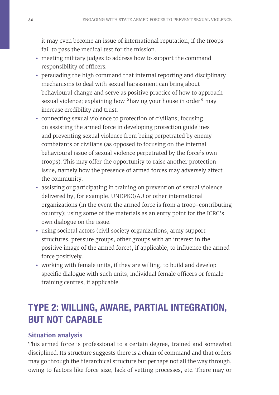it may even become an issue of international reputation, if the troops fail to pass the medical test for the mission.

- meeting military judges to address how to support the command responsibility of officers.
- persuading the high command that internal reporting and disciplinary mechanisms to deal with sexual harassment can bring about behavioural change and serve as positive practice of how to approach sexual violence; explaining how "having your house in order" may increase credibility and trust.
- connecting sexual violence to protection of civilians; focusing on assisting the armed force in developing protection guidelines and preventing sexual violence from being perpetrated by enemy combatants or civilians (as opposed to focusing on the internal behavioural issue of sexual violence perpetrated by the force's own troops). This may offer the opportunity to raise another protection issue, namely how the presence of armed forces may adversely affect the community.
- assisting or participating in training on prevention of sexual violence delivered by, for example, UNDPKO/AU or other international organizations (in the event the armed force is from a troop-contributing country); using some of the materials as an entry point for the ICRC's own dialogue on the issue.
- using societal actors (civil society organizations, army support structures, pressure groups, other groups with an interest in the positive image of the armed force), if applicable, to influence the armed force positively.
- working with female units, if they are willing, to build and develop specific dialogue with such units, individual female officers or female training centres, if applicable.

## TYPE 2: WILLING, AWARE, PARTIAL INTEGRATION, BUT NOT CAPABLE

### **Situation analysis**

This armed force is professional to a certain degree, trained and somewhat disciplined. Its structure suggests there is a chain of command and that orders may go through the hierarchical structure but perhaps not all the way through, owing to factors like force size, lack of vetting processes, etc. There may or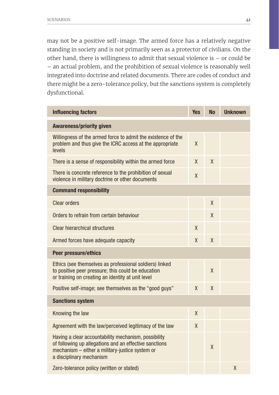may not be a positive self-image. The armed force has a relatively negative standing in society and is not primarily seen as a protector of civilians. On the other hand, there is willingness to admit that sexual violence is – or could be – an actual problem, and the prohibition of sexual violence is reasonably well integrated into doctrine and related documents. There are codes of conduct and there might be a zero-tolerance policy, but the sanctions system is completely dysfunctional.

| <b>Influencing factors</b>                                                                                                                                                                    | <b>Yes</b>   | <b>No</b> | <b>Unknown</b> |
|-----------------------------------------------------------------------------------------------------------------------------------------------------------------------------------------------|--------------|-----------|----------------|
| <b>Awareness/priority given</b>                                                                                                                                                               |              |           |                |
| Willingness of the armed force to admit the existence of the<br>problem and thus give the ICRC access at the appropriate<br>levels                                                            | X            |           |                |
| There is a sense of responsibility within the armed force                                                                                                                                     | X            | X         |                |
| There is concrete reference to the prohibition of sexual<br>violence in military doctrine or other documents                                                                                  | X            |           |                |
| <b>Command responsibility</b>                                                                                                                                                                 |              |           |                |
| Clear orders                                                                                                                                                                                  |              | X         |                |
| Orders to refrain from certain behaviour                                                                                                                                                      |              | X         |                |
| Clear hierarchical structures                                                                                                                                                                 | X            |           |                |
| Armed forces have adequate capacity                                                                                                                                                           | X            | X         |                |
| Peer pressure/ethics                                                                                                                                                                          |              |           |                |
| Ethics (see themselves as professional soldiers) linked<br>to positive peer pressure; this could be education<br>or training on creating an identity at unit level                            |              | X         |                |
| Positive self-image; see themselves as the "good guys"                                                                                                                                        | X            | X         |                |
| <b>Sanctions system</b>                                                                                                                                                                       |              |           |                |
| Knowing the law                                                                                                                                                                               | $\mathsf{X}$ |           |                |
| Agreement with the law/perceived legitimacy of the law                                                                                                                                        | X            |           |                |
| Having a clear accountability mechanism, possibility<br>of following up allegations and an effective sanctions<br>mechanism - either a military-justice system or<br>a disciplinary mechanism |              | X         |                |
| Zero-tolerance policy (written or stated)                                                                                                                                                     |              |           | X              |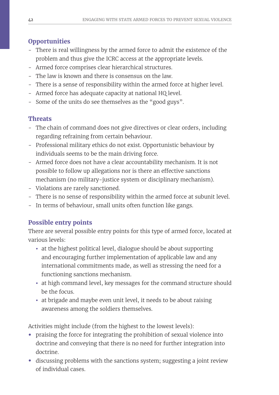## **Opportunities**

- There is real willingness by the armed force to admit the existence of the problem and thus give the ICRC access at the appropriate levels.
- Armed force comprises clear hierarchical structures.
- The law is known and there is consensus on the law.
- There is a sense of responsibility within the armed force at higher level.
- Armed force has adequate capacity at national HQ level.
- Some of the units do see themselves as the "good guys".

## **Threats**

- The chain of command does not give directives or clear orders, including regarding refraining from certain behaviour.
- Professional military ethics do not exist. Opportunistic behaviour by individuals seems to be the main driving force.
- Armed force does not have a clear accountability mechanism. It is not possible to follow up allegations nor is there an effective sanctions mechanism (no military-justice system or disciplinary mechanism).
- Violations are rarely sanctioned.
- There is no sense of responsibility within the armed force at subunit level.
- In terms of behaviour, small units often function like gangs.

## **Possible entry points**

There are several possible entry points for this type of armed force, located at various levels:

- at the highest political level, dialogue should be about supporting and encouraging further implementation of applicable law and any international commitments made, as well as stressing the need for a functioning sanctions mechanism.
- at high command level, key messages for the command structure should be the focus.
- at brigade and maybe even unit level, it needs to be about raising awareness among the soldiers themselves.

Activities might include (from the highest to the lowest levels):

- praising the force for integrating the prohibition of sexual violence into doctrine and conveying that there is no need for further integration into doctrine.
- discussing problems with the sanctions system; suggesting a joint review of individual cases.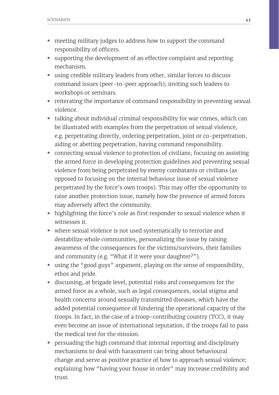- meeting military judges to address how to support the command responsibility of officers.
- supporting the development of an effective complaint and reporting mechanism.
- using credible military leaders from other, similar forces to discuss command issues (peer-to-peer approach); inviting such leaders to workshops or seminars.
- reiterating the importance of command responsibility in preventing sexual violence.
- talking about individual criminal responsibility for war crimes, which can be illustrated with examples from the perpetration of sexual violence, e.g. perpetrating directly, ordering perpetration, joint or co-perpetration, aiding or abetting perpetration, having command responsibility.
- connecting sexual violence to protection of civilians; focusing on assisting the armed force in developing protection guidelines and preventing sexual violence from being perpetrated by enemy combatants or civilians (as opposed to focusing on the internal behaviour issue of sexual violence perpetrated by the force's own troops). This may offer the opportunity to raise another protection issue, namely how the presence of armed forces may adversely affect the community.
- highlighting the force's role as first responder to sexual violence when it witnesses it.
- where sexual violence is not used systematically to terrorize and destabilize whole communities, personalizing the issue by raising awareness of the consequences for the victims/survivors, their families and community (e.g. "What if it were your daughter?").
- using the "good guys" argument, playing on the sense of responsibility, ethos and pride.
- discussing, at brigade level, potential risks and consequences for the armed force as a whole, such as legal consequences, social stigma and health concerns around sexually transmitted diseases, which have the added potential consequence of hindering the operational capacity of the troops. In fact, in the case of a troop-contributing country (TCC), it may even become an issue of international reputation, if the troops fail to pass the medical test for the mission.
- persuading the high command that internal reporting and disciplinary mechanisms to deal with harassment can bring about behavioural change and serve as positive practice of how to approach sexual violence; explaining how "having your house in order" may increase credibility and trust.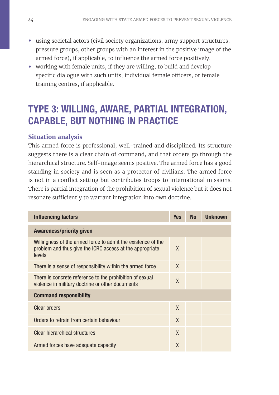- using societal actors (civil society organizations, army support structures, pressure groups, other groups with an interest in the positive image of the armed force), if applicable, to influence the armed force positively.
- working with female units, if they are willing, to build and develop specific dialogue with such units, individual female officers, or female training centres, if applicable.

## TYPE 3: WILLING, AWARE, PARTIAL INTEGRATION, CAPABLE, BUT NOTHING IN PRACTICE

### **Situation analysis**

This armed force is professional, well-trained and disciplined. Its structure suggests there is a clear chain of command, and that orders go through the hierarchical structure. Self-image seems positive. The armed force has a good standing in society and is seen as a protector of civilians. The armed force is not in a conflict setting but contributes troops to international missions. There is partial integration of the prohibition of sexual violence but it does not resonate sufficiently to warrant integration into own doctrine.

| Influencing factors                                                                                                                | <b>Yes</b>   | <b>No</b> | <b>Unknown</b> |
|------------------------------------------------------------------------------------------------------------------------------------|--------------|-----------|----------------|
| <b>Awareness/priority given</b>                                                                                                    |              |           |                |
| Willingness of the armed force to admit the existence of the<br>problem and thus give the ICRC access at the appropriate<br>levels | X            |           |                |
| There is a sense of responsibility within the armed force                                                                          | X            |           |                |
| There is concrete reference to the prohibition of sexual<br>violence in military doctrine or other documents                       | $\chi$       |           |                |
| <b>Command responsibility</b>                                                                                                      |              |           |                |
| <b>Clear orders</b>                                                                                                                | $\mathsf{X}$ |           |                |
| Orders to refrain from certain behaviour                                                                                           | $\mathsf{X}$ |           |                |
| Clear hierarchical structures                                                                                                      | X            |           |                |
| Armed forces have adequate capacity                                                                                                | X            |           |                |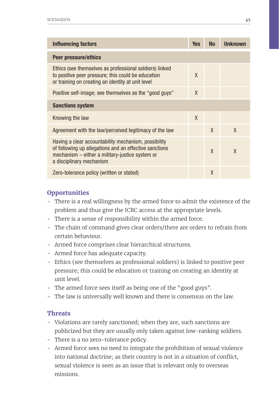| Influencing factors                                                                                                                                                                           | <b>Yes</b>   | <b>No</b> | <b>Unknown</b> |
|-----------------------------------------------------------------------------------------------------------------------------------------------------------------------------------------------|--------------|-----------|----------------|
| Peer pressure/ethics                                                                                                                                                                          |              |           |                |
| Ethics (see themselves as professional soldiers) linked<br>to positive peer pressure; this could be education<br>or training on creating an identity at unit level                            | X            |           |                |
| Positive self-image; see themselves as the "good guys"                                                                                                                                        | $\mathsf{X}$ |           |                |
| <b>Sanctions system</b>                                                                                                                                                                       |              |           |                |
| Knowing the law                                                                                                                                                                               | $\mathsf{X}$ |           |                |
| Agreement with the law/perceived legitimacy of the law                                                                                                                                        |              | $\chi$    | X              |
| Having a clear accountability mechanism, possibility<br>of following up allegations and an effective sanctions<br>mechanism - either a military-justice system or<br>a disciplinary mechanism |              | X         | X              |
| Zero-tolerance policy (written or stated)                                                                                                                                                     |              | X         |                |

## **Opportunities**

- There is a real willingness by the armed force to admit the existence of the problem and thus give the ICRC access at the appropriate levels.
- There is a sense of responsibility within the armed force.
- The chain of command gives clear orders/there are orders to refrain from certain behaviour.
- Armed force comprises clear hierarchical structures.
- Armed force has adequate capacity.
- Ethics (see themselves as professional soldiers) is linked to positive peer pressure; this could be education or training on creating an identity at unit level.
- The armed force sees itself as being one of the "good guys".
- The law is universally well known and there is consensus on the law.

### **Threats**

- Violations are rarely sanctioned; when they are, such sanctions are publicized but they are usually only taken against low-ranking soldiers.
- There is a no zero-tolerance policy.
- Armed force sees no need to integrate the prohibition of sexual violence into national doctrine; as their country is not in a situation of conflict, sexual violence is seen as an issue that is relevant only to overseas missions.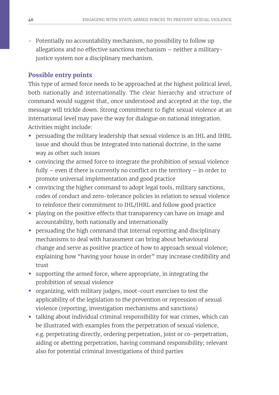- Potentially no accountability mechanism, no possibility to follow up allegations and no effective sanctions mechanism – neither a militaryjustice system nor a disciplinary mechanism.

## **Possible entry points**

This type of armed force needs to be approached at the highest political level, both nationally and internationally. The clear hierarchy and structure of command would suggest that, once understood and accepted at the top, the message will trickle down. Strong commitment to fight sexual violence at an international level may pave the way for dialogue on national integration. Activities might include:

- persuading the military leadership that sexual violence is an IHL and IHRL issue and should thus be integrated into national doctrine, in the same way as other such issues
- convincing the armed force to integrate the prohibition of sexual violence fully – even if there is currently no conflict on the territory – in order to promote universal implementation and good practice
- convincing the higher command to adopt legal tools, military sanctions, codes of conduct and zero-tolerance policies in relation to sexual violence to reinforce their commitment to IHL/IHRL and follow good practice
- playing on the positive effects that transparency can have on image and accountability, both nationally and internationally
- persuading the high command that internal reporting and disciplinary mechanisms to deal with harassment can bring about behavioural change and serve as positive practice of how to approach sexual violence; explaining how "having your house in order" may increase credibility and trust
- supporting the armed force, where appropriate, in integrating the prohibition of sexual violence
- organizing, with military judges, moot-court exercises to test the applicability of the legislation to the prevention or repression of sexual violence (reporting, investigation mechanisms and sanctions)
- talking about individual criminal responsibility for war crimes, which can be illustrated with examples from the perpetration of sexual violence, e.g. perpetrating directly, ordering perpetration, joint or co-perpetration, aiding or abetting perpetration, having command responsibility; relevant also for potential criminal investigations of third parties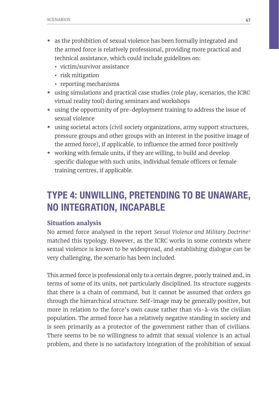- as the prohibition of sexual violence has been formally integrated and the armed force is relatively professional, providing more practical and technical assistance, which could include guidelines on:
	- victim/survivor assistance
	- risk mitigation
	- reporting mechanisms
- using simulations and practical case studies (role play, scenarios, the ICRC virtual reality tool) during seminars and workshops
- using the opportunity of pre-deployment training to address the issue of sexual violence
- using societal actors (civil society organizations, army support structures, pressure groups and other groups with an interest in the positive image of the armed force), if applicable, to influence the armed force positively
- working with female units, if they are willing, to build and develop specific dialogue with such units, individual female officers or female training centres, if applicable.

## TYPE 4: UNWILLING, PRETENDING TO BE UNAWARE, NO INTEGRATION, INCAPABLE

#### **Situation analysis**

No armed force analysed in the report *Sexual Violence and Military Doctrine* <sup>1</sup> matched this typology. However, as the ICRC works in some contexts where sexual violence is known to be widespread, and establishing dialogue can be very challenging, the scenario has been included.

This armed force is professional only to a certain degree, poorly trained and, in terms of some of its units, not particularly disciplined. Its structure suggests that there is a chain of command, but it cannot be assumed that orders go through the hierarchical structure. Self-image may be generally positive, but more in relation to the force's own cause rather than vis-à-vis the civilian population. The armed force has a relatively negative standing in society and is seen primarily as a protector of the government rather than of civilians. There seems to be no willingness to admit that sexual violence is an actual problem, and there is no satisfactory integration of the prohibition of sexual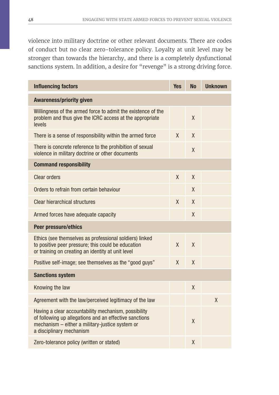violence into military doctrine or other relevant documents. There are codes of conduct but no clear zero-tolerance policy. Loyalty at unit level may be stronger than towards the hierarchy, and there is a completely dysfunctional sanctions system. In addition, a desire for "revenge" is a strong driving force.

| <b>Influencing factors</b>                                                                                                                                                                    | <b>Yes</b> | <b>No</b> | <b>Unknown</b> |
|-----------------------------------------------------------------------------------------------------------------------------------------------------------------------------------------------|------------|-----------|----------------|
| <b>Awareness/priority given</b>                                                                                                                                                               |            |           |                |
| Willingness of the armed force to admit the existence of the<br>problem and thus give the ICRC access at the appropriate<br>levels                                                            |            | X         |                |
| There is a sense of responsibility within the armed force                                                                                                                                     | X          | X         |                |
| There is concrete reference to the prohibition of sexual<br>violence in military doctrine or other documents                                                                                  |            | X         |                |
| <b>Command responsibility</b>                                                                                                                                                                 |            |           |                |
| <b>Clear orders</b>                                                                                                                                                                           | X          | X         |                |
| Orders to refrain from certain behaviour                                                                                                                                                      |            | X         |                |
| <b>Clear hierarchical structures</b>                                                                                                                                                          | X          | X         |                |
| Armed forces have adequate capacity                                                                                                                                                           |            | X         |                |
| <b>Peer pressure/ethics</b>                                                                                                                                                                   |            |           |                |
| Ethics (see themselves as professional soldiers) linked<br>to positive peer pressure; this could be education<br>or training on creating an identity at unit level                            | X          | $\chi$    |                |
| Positive self-image; see themselves as the "good guys"                                                                                                                                        | X          | X         |                |
| <b>Sanctions system</b>                                                                                                                                                                       |            |           |                |
| Knowing the law                                                                                                                                                                               |            | X         |                |
| Agreement with the law/perceived legitimacy of the law                                                                                                                                        |            |           | X              |
| Having a clear accountability mechanism, possibility<br>of following up allegations and an effective sanctions<br>mechanism - either a military-justice system or<br>a disciplinary mechanism |            | $\chi$    |                |
| Zero-tolerance policy (written or stated)                                                                                                                                                     |            | X         |                |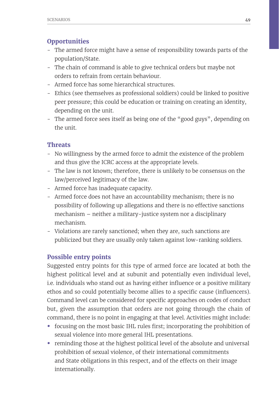### **Opportunities**

- The armed force might have a sense of responsibility towards parts of the population/State.
- The chain of command is able to give technical orders but maybe not orders to refrain from certain behaviour.
- Armed force has some hierarchical structures.
- Ethics (see themselves as professional soldiers) could be linked to positive peer pressure; this could be education or training on creating an identity, depending on the unit.
- The armed force sees itself as being one of the "good guys", depending on the unit.

#### **Threats**

- No willingness by the armed force to admit the existence of the problem and thus give the ICRC access at the appropriate levels.
- The law is not known; therefore, there is unlikely to be consensus on the law/perceived legitimacy of the law.
- Armed force has inadequate capacity.
- Armed force does not have an accountability mechanism; there is no possibility of following up allegations and there is no effective sanctions mechanism – neither a military-justice system nor a disciplinary mechanism.
- Violations are rarely sanctioned; when they are, such sanctions are publicized but they are usually only taken against low-ranking soldiers.

### **Possible entry points**

Suggested entry points for this type of armed force are located at both the highest political level and at subunit and potentially even individual level, i.e. individuals who stand out as having either influence or a positive military ethos and so could potentially become allies to a specific cause (influencers). Command level can be considered for specific approaches on codes of conduct but, given the assumption that orders are not going through the chain of command, there is no point in engaging at that level. Activities might include:

- focusing on the most basic IHL rules first; incorporating the prohibition of sexual violence into more general IHL presentations.
- reminding those at the highest political level of the absolute and universal prohibition of sexual violence, of their international commitments and State obligations in this respect, and of the effects on their image internationally.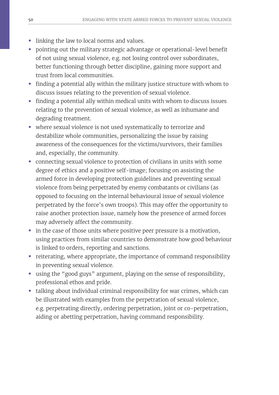- linking the law to local norms and values.
- pointing out the military strategic advantage or operational-level benefit of not using sexual violence, e.g. not losing control over subordinates, better functioning through better discipline, gaining more support and trust from local communities.
- finding a potential ally within the military justice structure with whom to discuss issues relating to the prevention of sexual violence.
- finding a potential ally within medical units with whom to discuss issues relating to the prevention of sexual violence, as well as inhumane and degrading treatment.
- where sexual violence is not used systematically to terrorize and destabilize whole communities, personalizing the issue by raising awareness of the consequences for the victims/survivors, their families and, especially, the community.
- connecting sexual violence to protection of civilians in units with some degree of ethics and a positive self-image; focusing on assisting the armed force in developing protection guidelines and preventing sexual violence from being perpetrated by enemy combatants or civilians (as opposed to focusing on the internal behavioural issue of sexual violence perpetrated by the force's own troops). This may offer the opportunity to raise another protection issue, namely how the presence of armed forces may adversely affect the community.
- in the case of those units where positive peer pressure is a motivation, using practices from similar countries to demonstrate how good behaviour is linked to orders, reporting and sanctions.
- reiterating, where appropriate, the importance of command responsibility in preventing sexual violence.
- using the "good guys" argument, playing on the sense of responsibility, professional ethos and pride.
- talking about individual criminal responsibility for war crimes, which can be illustrated with examples from the perpetration of sexual violence, e.g. perpetrating directly, ordering perpetration, joint or co-perpetration, aiding or abetting perpetration, having command responsibility.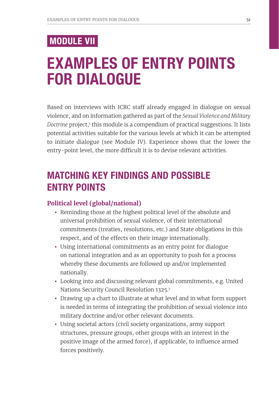## MODULE VII

# EXAMPLES OF ENTRY POINTS FOR DIALOGUE

Based on interviews with ICRC staff already engaged in dialogue on sexual violence, and on information gathered as part of the *Sexual Violence and Military*  Doctrine project,<sup>1</sup> this module is a compendium of practical suggestions. It lists potential activities suitable for the various levels at which it can be attempted to initiate dialogue (see Module IV). Experience shows that the lower the entry-point level, the more difficult it is to devise relevant activities.

## MATCHING KEY FINDINGS AND POSSIBLE ENTRY POINTS

#### **Political level (global/national)**

- Reminding those at the highest political level of the absolute and universal prohibition of sexual violence, of their international commitments (treaties, resolutions, etc.) and State obligations in this respect, and of the effects on their image internationally.
- Using international commitments as an entry point for dialogue on national integration and as an opportunity to push for a process whereby these documents are followed up and/or implemented nationally.
- Looking into and discussing relevant global commitments, e.g. United Nations Security Council Resolution 1325.7
- Drawing up a chart to illustrate at what level and in what form support is needed in terms of integrating the prohibition of sexual violence into military doctrine and/or other relevant documents.
- Using societal actors (civil society organizations, army support structures, pressure groups, other groups with an interest in the positive image of the armed force), if applicable, to influence armed forces positively.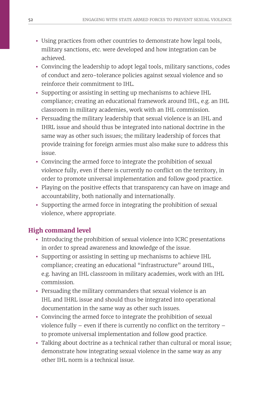- Using practices from other countries to demonstrate how legal tools, military sanctions, etc. were developed and how integration can be achieved.
- Convincing the leadership to adopt legal tools, military sanctions, codes of conduct and zero-tolerance policies against sexual violence and so reinforce their commitment to IHL.
- Supporting or assisting in setting up mechanisms to achieve IHL compliance; creating an educational framework around IHL, e.g. an IHL classroom in military academies, work with an IHL commission.
- Persuading the military leadership that sexual violence is an IHL and IHRL issue and should thus be integrated into national doctrine in the same way as other such issues; the military leadership of forces that provide training for foreign armies must also make sure to address this issue.
- Convincing the armed force to integrate the prohibition of sexual violence fully, even if there is currently no conflict on the territory, in order to promote universal implementation and follow good practice.
- Playing on the positive effects that transparency can have on image and accountability, both nationally and internationally.
- Supporting the armed force in integrating the prohibition of sexual violence, where appropriate.

## **High command level**

- Introducing the prohibition of sexual violence into ICRC presentations in order to spread awareness and knowledge of the issue.
- Supporting or assisting in setting up mechanisms to achieve IHL compliance; creating an educational "infrastructure" around IHL, e.g. having an IHL classroom in military academies, work with an IHL commission.
- Persuading the military commanders that sexual violence is an IHL and IHRL issue and should thus be integrated into operational documentation in the same way as other such issues.
- Convincing the armed force to integrate the prohibition of sexual violence fully – even if there is currently no conflict on the territory – to promote universal implementation and follow good practice.
- Talking about doctrine as a technical rather than cultural or moral issue; demonstrate how integrating sexual violence in the same way as any other IHL norm is a technical issue.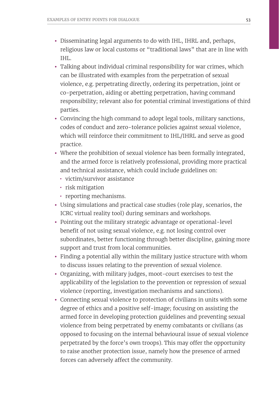- Disseminating legal arguments to do with IHL, IHRL and, perhaps, religious law or local customs or "traditional laws" that are in line with IHL.
- Talking about individual criminal responsibility for war crimes, which can be illustrated with examples from the perpetration of sexual violence, e.g. perpetrating directly, ordering its perpetration, joint or co-perpetration, aiding or abetting perpetration, having command responsibility; relevant also for potential criminal investigations of third parties.
- Convincing the high command to adopt legal tools, military sanctions, codes of conduct and zero-tolerance policies against sexual violence, which will reinforce their commitment to IHL/IHRL and serve as good practice.
- Where the prohibition of sexual violence has been formally integrated, and the armed force is relatively professional, providing more practical and technical assistance, which could include guidelines on:
	- *•* victim/survivor assistance
	- *•* risk mitigation
	- *•* reporting mechanisms.
- Using simulations and practical case studies (role play, scenarios, the ICRC virtual reality tool) during seminars and workshops.
- Pointing out the military strategic advantage or operational-level benefit of not using sexual violence, e.g. not losing control over subordinates, better functioning through better discipline, gaining more support and trust from local communities.
- Finding a potential ally within the military justice structure with whom to discuss issues relating to the prevention of sexual violence.
- Organizing, with military judges, moot-court exercises to test the applicability of the legislation to the prevention or repression of sexual violence (reporting, investigation mechanisms and sanctions).
- Connecting sexual violence to protection of civilians in units with some degree of ethics and a positive self-image; focusing on assisting the armed force in developing protection guidelines and preventing sexual violence from being perpetrated by enemy combatants or civilians (as opposed to focusing on the internal behavioural issue of sexual violence perpetrated by the force's own troops). This may offer the opportunity to raise another protection issue, namely how the presence of armed forces can adversely affect the community.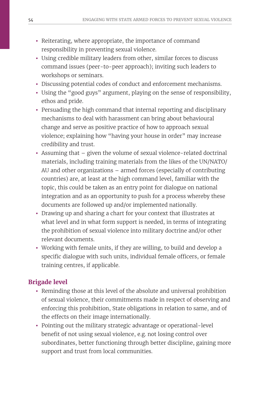- Reiterating, where appropriate, the importance of command responsibility in preventing sexual violence.
- Using credible military leaders from other, similar forces to discuss command issues (peer-to-peer approach); inviting such leaders to workshops or seminars.
- Discussing potential codes of conduct and enforcement mechanisms.
- Using the "good guys" argument, playing on the sense of responsibility, ethos and pride.
- Persuading the high command that internal reporting and disciplinary mechanisms to deal with harassment can bring about behavioural change and serve as positive practice of how to approach sexual violence; explaining how "having your house in order" may increase credibility and trust.
- Assuming that given the volume of sexual violence-related doctrinal materials, including training materials from the likes of the UN/NATO/ AU and other organizations – armed forces (especially of contributing countries) are, at least at the high command level, familiar with the topic, this could be taken as an entry point for dialogue on national integration and as an opportunity to push for a process whereby these documents are followed up and/or implemented nationally.
- Drawing up and sharing a chart for your context that illustrates at what level and in what form support is needed, in terms of integrating the prohibition of sexual violence into military doctrine and/or other relevant documents.
- Working with female units, if they are willing, to build and develop a specific dialogue with such units, individual female officers, or female training centres, if applicable.

## **Brigade level**

- Reminding those at this level of the absolute and universal prohibition of sexual violence, their commitments made in respect of observing and enforcing this prohibition, State obligations in relation to same, and of the effects on their image internationally.
- Pointing out the military strategic advantage or operational-level benefit of not using sexual violence, e.g. not losing control over subordinates, better functioning through better discipline, gaining more support and trust from local communities.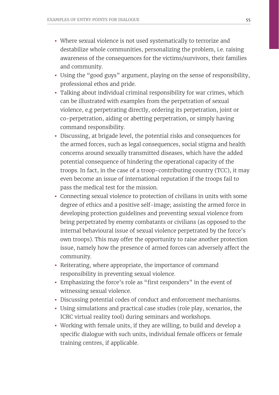- Where sexual violence is not used systematically to terrorize and destabilize whole communities, personalizing the problem, i.e. raising awareness of the consequences for the victims/survivors, their families and community.
- Using the "good guys" argument, playing on the sense of responsibility, professional ethos and pride.
- Talking about individual criminal responsibility for war crimes, which can be illustrated with examples from the perpetration of sexual violence, e.g perpetrating directly, ordering its perpetration, joint or co-perpetration, aiding or abetting perpetration, or simply having command responsibility.
- Discussing, at brigade level, the potential risks and consequences for the armed forces, such as legal consequences, social stigma and health concerns around sexually transmitted diseases, which have the added potential consequence of hindering the operational capacity of the troops. In fact, in the case of a troop-contributing country (TCC), it may even become an issue of international reputation if the troops fail to pass the medical test for the mission.
- Connecting sexual violence to protection of civilians in units with some degree of ethics and a positive self-image; assisting the armed force in developing protection guidelines and preventing sexual violence from being perpetrated by enemy combatants or civilians (as opposed to the internal behavioural issue of sexual violence perpetrated by the force's own troops). This may offer the opportunity to raise another protection issue, namely how the presence of armed forces can adversely affect the community.
- Reiterating, where appropriate, the importance of command responsibility in preventing sexual violence.
- Emphasizing the force's role as "first responders" in the event of witnessing sexual violence.
- Discussing potential codes of conduct and enforcement mechanisms.
- Using simulations and practical case studies (role play, scenarios, the ICRC virtual reality tool) during seminars and workshops.
- Working with female units, if they are willing, to build and develop a specific dialogue with such units, individual female officers or female training centres, if applicable.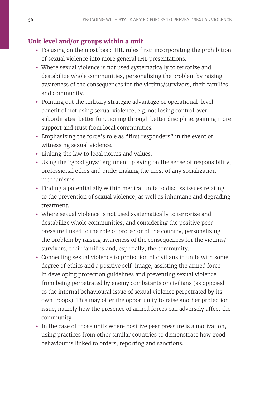## **Unit level and/or groups within a unit**

- Focusing on the most basic IHL rules first; incorporating the prohibition of sexual violence into more general IHL presentations.
- Where sexual violence is not used systematically to terrorize and destabilize whole communities, personalizing the problem by raising awareness of the consequences for the victims/survivors, their families and community.
- Pointing out the military strategic advantage or operational-level benefit of not using sexual violence, e.g. not losing control over subordinates, better functioning through better discipline, gaining more support and trust from local communities.
- Emphasizing the force's role as "first responders" in the event of witnessing sexual violence.
- Linking the law to local norms and values.
- Using the "good guys" argument, playing on the sense of responsibility, professional ethos and pride; making the most of any socialization mechanisms.
- Finding a potential ally within medical units to discuss issues relating to the prevention of sexual violence, as well as inhumane and degrading treatment.
- Where sexual violence is not used systematically to terrorize and destabilize whole communities, and considering the positive peer pressure linked to the role of protector of the country, personalizing the problem by raising awareness of the consequences for the victims/ survivors, their families and, especially, the community.
- Connecting sexual violence to protection of civilians in units with some degree of ethics and a positive self-image; assisting the armed force in developing protection guidelines and preventing sexual violence from being perpetrated by enemy combatants or civilians (as opposed to the internal behavioural issue of sexual violence perpetrated by its own troops). This may offer the opportunity to raise another protection issue, namely how the presence of armed forces can adversely affect the community.
- In the case of those units where positive peer pressure is a motivation, using practices from other similar countries to demonstrate how good behaviour is linked to orders, reporting and sanctions.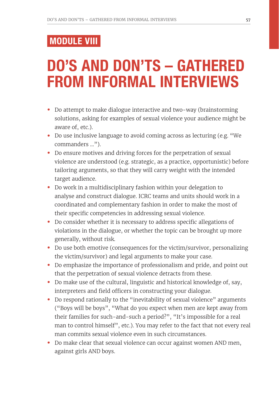## MODULE VIII

# DO'S AND DON'TS – GATHERED FROM INFORMAL INTERVIEWS

- Do attempt to make dialogue interactive and two-way (brainstorming solutions, asking for examples of sexual violence your audience might be aware of, etc.).
- Do use inclusive language to avoid coming across as lecturing (e.g. "We commanders ...").
- Do ensure motives and driving forces for the perpetration of sexual violence are understood (e.g. strategic, as a practice, opportunistic) before tailoring arguments, so that they will carry weight with the intended target audience.
- Do work in a multidisciplinary fashion within your delegation to analyse and construct dialogue. ICRC teams and units should work in a coordinated and complementary fashion in order to make the most of their specific competencies in addressing sexual violence.
- Do consider whether it is necessary to address specific allegations of violations in the dialogue, or whether the topic can be brought up more generally, without risk.
- Do use both emotive (consequences for the victim/survivor, personalizing the victim/survivor) and legal arguments to make your case.
- Do emphasize the importance of professionalism and pride, and point out that the perpetration of sexual violence detracts from these.
- Do make use of the cultural, linguistic and historical knowledge of, say, interpreters and field officers in constructing your dialogue.
- Do respond rationally to the "inevitability of sexual violence" arguments ("Boys will be boys", "What do you expect when men are kept away from their families for such-and-such a period?", "It's impossible for a real man to control himself", etc.). You may refer to the fact that not every real man commits sexual violence even in such circumstances.
- Do make clear that sexual violence can occur against women AND men, against girls AND boys.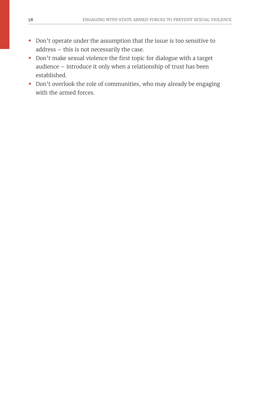- Don't operate under the assumption that the issue is too sensitive to address – this is not necessarily the case.
- Don't make sexual violence the first topic for dialogue with a target audience – introduce it only when a relationship of trust has been established.
- Don't overlook the role of communities, who may already be engaging with the armed forces.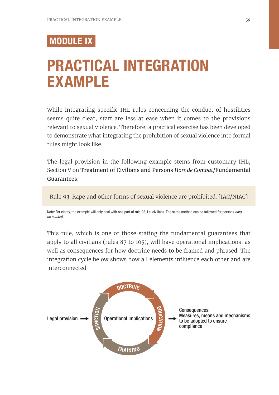## MODULE IX

# PRACTICAL INTEGRATION EXAMPLE

While integrating specific IHL rules concerning the conduct of hostilities seems quite clear, staff are less at ease when it comes to the provisions relevant to sexual violence. Therefore, a practical exercise has been developed to demonstrate what integrating the prohibition of sexual violence into formal rules might look like.

The legal provision in the following example stems from customary IHL, Section V on Treatment of Civilians and Persons *Hors de Combat*/Fundamental Guarantees:

Rule 93. Rape and other forms of sexual violence are prohibited. [IAC/NIAC]

Note: For clarity, the example will only deal with one part of rule 93, i.e. civilians. The same method can be followed for persons *hors de combat.*

This rule, which is one of those stating the fundamental guarantees that apply to all civilians (rules 87 to 105), will have operational implications, as well as consequences for how doctrine needs to be framed and phrased. The integration cycle below shows how all elements influence each other and are interconnected.

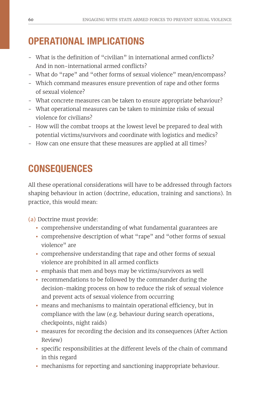## OPERATIONAL IMPLICATIONS

- What is the definition of "civilian" in international armed conflicts? And in non-international armed conflicts?
- What do "rape" and "other forms of sexual violence" mean/encompass?
- Which command measures ensure prevention of rape and other forms of sexual violence?
- What concrete measures can be taken to ensure appropriate behaviour?
- What operational measures can be taken to minimize risks of sexual violence for civilians?
- How will the combat troops at the lowest level be prepared to deal with potential victims/survivors and coordinate with logistics and medics?
- How can one ensure that these measures are applied at all times?

## **CONSEQUENCES**

All these operational considerations will have to be addressed through factors shaping behaviour in action (doctrine, education, training and sanctions). In practice, this would mean:

(a) Doctrine must provide:

- comprehensive understanding of what fundamental guarantees are
- comprehensive description of what "rape" and "other forms of sexual violence" are
- comprehensive understanding that rape and other forms of sexual violence are prohibited in all armed conflicts
- emphasis that men and boys may be victims/survivors as well
- recommendations to be followed by the commander during the decision-making process on how to reduce the risk of sexual violence and prevent acts of sexual violence from occurring
- means and mechanisms to maintain operational efficiency, but in compliance with the law (e.g. behaviour during search operations, checkpoints, night raids)
- measures for recording the decision and its consequences (After Action Review)
- specific responsibilities at the different levels of the chain of command in this regard
- mechanisms for reporting and sanctioning inappropriate behaviour.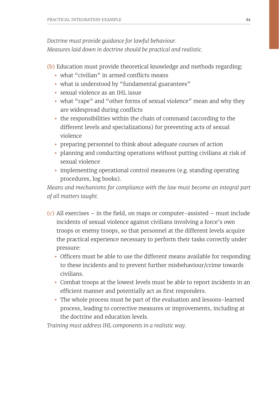*Doctrine must provide guidance for lawful behaviour. Measures laid down in doctrine should be practical and realistic.*

(b) Education must provide theoretical knowledge and methods regarding:

- what "civilian" in armed conflicts means
- what is understood by "fundamental guarantees"
- sexual violence as an IHL issue
- what "rape" and "other forms of sexual violence" mean and why they are widespread during conflicts
- the responsibilities within the chain of command (according to the different levels and specializations) for preventing acts of sexual violence
- preparing personnel to think about adequate courses of action
- planning and conducting operations without putting civilians at risk of sexual violence
- implementing operational control measures (e.g. standing operating procedures, log books).

*Means and mechanisms for compliance with the law must become an integral part of all matters taught.*

- (c) All exercises in the field, on maps or computer-assisted must include incidents of sexual violence against civilians involving a force's own troops or enemy troops, so that personnel at the different levels acquire the practical experience necessary to perform their tasks correctly under pressure:
	- Officers must be able to use the different means available for responding to these incidents and to prevent further misbehaviour/crime towards civilians.
	- Combat troops at the lowest levels must be able to report incidents in an efficient manner and potentially act as first responders.
	- The whole process must be part of the evaluation and lessons-learned process, leading to corrective measures or improvements, including at the doctrine and education levels.

*Training must address IHL components in a realistic way.*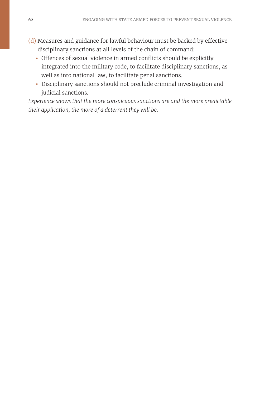- (d) Measures and guidance for lawful behaviour must be backed by effective disciplinary sanctions at all levels of the chain of command:
	- Offences of sexual violence in armed conflicts should be explicitly integrated into the military code, to facilitate disciplinary sanctions, as well as into national law, to facilitate penal sanctions.
	- Disciplinary sanctions should not preclude criminal investigation and judicial sanctions.

*Experience shows that the more conspicuous sanctions are and the more predictable their application, the more of a deterrent they will be.*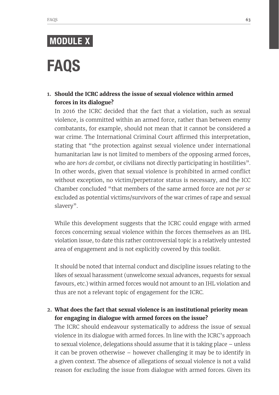# MODULE X

# FAQS

### **1. Should the ICRC address the issue of sexual violence within armed forces in its dialogue?**

In 2016 the ICRC decided that the fact that a violation, such as sexual violence, is committed within an armed force, rather than between enemy combatants, for example, should not mean that it cannot be considered a war crime. The International Criminal Court affirmed this interpretation, stating that "the protection against sexual violence under international humanitarian law is not limited to members of the opposing armed forces, who are *hors de combat,* or civilians not directly participating in hostilities". In other words, given that sexual violence is prohibited in armed conflict without exception, no victim/perpetrator status is necessary, and the ICC Chamber concluded "that members of the same armed force are not *per se* excluded as potential victims/survivors of the war crimes of rape and sexual slavery".

While this development suggests that the ICRC could engage with armed forces concerning sexual violence within the forces themselves as an IHL violation issue, to date this rather controversial topic is a relatively untested area of engagement and is not explicitly covered by this toolkit.

It should be noted that internal conduct and discipline issues relating to the likes of sexual harassment (unwelcome sexual advances, requests for sexual favours, etc.) within armed forces would not amount to an IHL violation and thus are not a relevant topic of engagement for the ICRC.

## **2. What does the fact that sexual violence is an institutional priority mean for engaging in dialogue with armed forces on the issue?**

The ICRC should endeavour systematically to address the issue of sexual violence in its dialogue with armed forces. In line with the ICRC's approach to sexual violence, delegations should assume that it is taking place – unless it can be proven otherwise – however challenging it may be to identify in a given context. The absence of allegations of sexual violence is not a valid reason for excluding the issue from dialogue with armed forces. Given its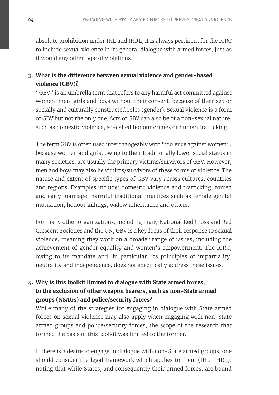absolute prohibition under IHL and IHRL, it is always pertinent for the ICRC to include sexual violence in its general dialogue with armed forces, just as it would any other type of violations.

## **3. What is the difference between sexual violence and gender-based violence (GBV)?**

"GBV" is an umbrella term that refers to any harmful act committed against women, men, girls and boys without their consent, because of their sex or socially and culturally constructed roles (gender). Sexual violence is a form of GBV but not the only one. Acts of GBV can also be of a non-sexual nature, such as domestic violence, so-called honour crimes or human trafficking.

The term GBV is often used interchangeably with "violence against women", because women and girls, owing to their traditionally lower social status in many societies, are usually the primary victims/survivors of GBV. However, men and boys may also be victims/survivors of these forms of violence. The nature and extent of specific types of GBV vary across cultures, countries and regions. Examples include: domestic violence and trafficking, forced and early marriage, harmful traditional practices such as female genital mutilation, honour killings, widow inheritance and others.

For many other organizations, including many National Red Cross and Red Crescent Societies and the UN, GBV is a key focus of their response to sexual violence, meaning they work on a broader range of issues, including the achievement of gender equality and women's empowerment. The ICRC, owing to its mandate and, in particular, its principles of impartiality, neutrality and independence, does not specifically address these issues.

## **4. Why is this toolkit limited to dialogue with State armed forces, to the exclusion of other weapon bearers, such as non-State armed groups (NSAGs) and police/security forces?**

While many of the strategies for engaging in dialogue with State armed forces on sexual violence may also apply when engaging with non-State armed groups and police/security forces, the scope of the research that formed the basis of this toolkit was limited to the former.

If there is a desire to engage in dialogue with non-State armed groups, one should consider the legal framework which applies to them (IHL, IHRL), noting that while States, and consequently their armed forces, are bound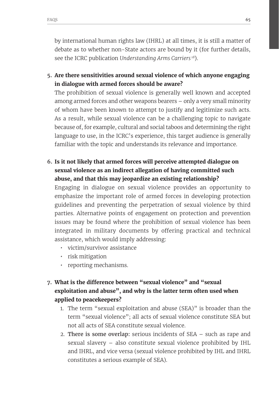by international human rights law (IHRL) at all times, it is still a matter of debate as to whether non-State actors are bound by it (for further details, see the ICRC publication *Understanding Arms Carriers <sup>18</sup>*).

**5. Are there sensitivities around sexual violence of which anyone engaging in dialogue with armed forces should be aware?** 

The prohibition of sexual violence is generally well known and accepted among armed forces and other weapons bearers – only a very small minority of whom have been known to attempt to justify and legitimize such acts. As a result, while sexual violence can be a challenging topic to navigate because of, for example, cultural and social taboos and determining the right language to use, in the ICRC's experience, this target audience is generally familiar with the topic and understands its relevance and importance.

**6. Is it not likely that armed forces will perceive attempted dialogue on sexual violence as an indirect allegation of having committed such abuse, and that this may jeopardize an existing relationship?**

Engaging in dialogue on sexual violence provides an opportunity to emphasize the important role of armed forces in developing protection guidelines and preventing the perpetration of sexual violence by third parties. Alternative points of engagement on protection and prevention issues may be found where the prohibition of sexual violence has been integrated in military documents by offering practical and technical assistance, which would imply addressing:

- *•* victim/survivor assistance
- *•* risk mitigation
- *•* reporting mechanisms.
- **7. What is the difference between "sexual violence" and "sexual exploitation and abuse", and why is the latter term often used when applied to peacekeepers?**
	- 1. The term "sexual exploitation and abuse (SEA)" is broader than the term "sexual violence"; all acts of sexual violence constitute SEA but not all acts of SEA constitute sexual violence.
	- 2. There is some overlap: serious incidents of SEA such as rape and sexual slavery – also constitute sexual violence prohibited by IHL and IHRL, and vice versa (sexual violence prohibited by IHL and IHRL constitutes a serious example of SEA).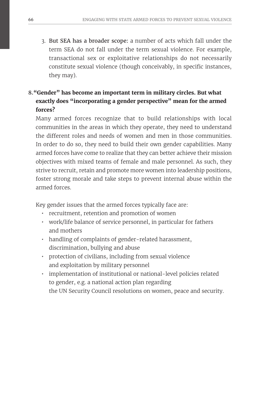3. But SEA has a broader scope: a number of acts which fall under the term SEA do not fall under the term sexual violence. For example, transactional sex or exploitative relationships do not necessarily constitute sexual violence (though conceivably, in specific instances, they may).

## **8."Gender" has become an important term in military circles. But what exactly does "incorporating a gender perspective" mean for the armed forces?**

Many armed forces recognize that to build relationships with local communities in the areas in which they operate, they need to understand the different roles and needs of women and men in those communities. In order to do so, they need to build their own gender capabilities. Many armed forces have come to realize that they can better achieve their mission objectives with mixed teams of female and male personnel. As such, they strive to recruit, retain and promote more women into leadership positions, foster strong morale and take steps to prevent internal abuse within the armed forces.

Key gender issues that the armed forces typically face are:

- *•* recruitment, retention and promotion of women
- *•* work/life balance of service personnel, in particular for fathers and mothers
- *•* handling of complaints of gender-related harassment, discrimination, bullying and abuse
- *•* protection of civilians, including from sexual violence and exploitation by military personnel
- *•* implementation of institutional or national-level policies related to gender, e.g. a national action plan regarding the UN Security Council resolutions on women, peace and security.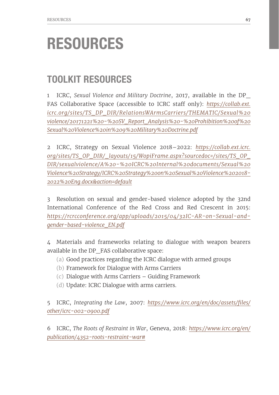# RESOURCES

## TOOLKIT RESOURCES

1 ICRC, *Sexual Violence and Military Doctrine*, 2017, available in the DP\_ FAS Collaborative Space (accessible to ICRC staff only): *[https://collab.ext.](https://collab.ext.icrc.org/sites/TS_DP_DIR/RelationsWArmsCarriers/THEMATIC/Sexual%20violence/20171221%20-%20SV_Report_Analysis%20-%20Prohibition%20of%20Sexual%20Violence%20in%209%20Military%20Doctrine.pdf) [icrc.org/sites/TS\\_DP\\_DIR/RelationsWArmsCarriers/THEMATIC/Sexual%20](https://collab.ext.icrc.org/sites/TS_DP_DIR/RelationsWArmsCarriers/THEMATIC/Sexual%20violence/20171221%20-%20SV_Report_Analysis%20-%20Prohibition%20of%20Sexual%20Violence%20in%209%20Military%20Doctrine.pdf) [violence/20171221%20-%20SV\\_Report\\_Analysis%20-%20Prohibition%20of%20](https://collab.ext.icrc.org/sites/TS_DP_DIR/RelationsWArmsCarriers/THEMATIC/Sexual%20violence/20171221%20-%20SV_Report_Analysis%20-%20Prohibition%20of%20Sexual%20Violence%20in%209%20Military%20Doctrine.pdf) [Sexual%20Violence%20in%209%20Military%20Doctrine.pdf](https://collab.ext.icrc.org/sites/TS_DP_DIR/RelationsWArmsCarriers/THEMATIC/Sexual%20violence/20171221%20-%20SV_Report_Analysis%20-%20Prohibition%20of%20Sexual%20Violence%20in%209%20Military%20Doctrine.pdf)*

2 ICRC, Strategy on Sexual Violence 2018–2022: *[https://collab.ext.icrc.](https://collab.ext.icrc.org/sites/TS_OP_DIR/_layouts/15/WopiFrame.aspx?sourcedoc=/sites/TS_OP_DIR/sexualviolence/A%20-%20ICRC%20Internal%20documents/Sexual%20Violence%20Strategy/ICRC%20Strategy%20on%20Sexual%20Violence%202018-2022%20Eng.docx&action=default) [org/sites/TS\\_OP\\_DIR/\\_layouts/15/WopiFrame.aspx?sourcedoc=/sites/TS\\_OP\\_](https://collab.ext.icrc.org/sites/TS_OP_DIR/_layouts/15/WopiFrame.aspx?sourcedoc=/sites/TS_OP_DIR/sexualviolence/A%20-%20ICRC%20Internal%20documents/Sexual%20Violence%20Strategy/ICRC%20Strategy%20on%20Sexual%20Violence%202018-2022%20Eng.docx&action=default) [DIR/sexualviolence/A%20-%20ICRC%20Internal%20documents/Sexual%20](https://collab.ext.icrc.org/sites/TS_OP_DIR/_layouts/15/WopiFrame.aspx?sourcedoc=/sites/TS_OP_DIR/sexualviolence/A%20-%20ICRC%20Internal%20documents/Sexual%20Violence%20Strategy/ICRC%20Strategy%20on%20Sexual%20Violence%202018-2022%20Eng.docx&action=default) [Violence%20Strategy/ICRC%20Strategy%20on%20Sexual%20Violence%202018-](https://collab.ext.icrc.org/sites/TS_OP_DIR/_layouts/15/WopiFrame.aspx?sourcedoc=/sites/TS_OP_DIR/sexualviolence/A%20-%20ICRC%20Internal%20documents/Sexual%20Violence%20Strategy/ICRC%20Strategy%20on%20Sexual%20Violence%202018-2022%20Eng.docx&action=default) [2022%20Eng.docx&action=default](https://collab.ext.icrc.org/sites/TS_OP_DIR/_layouts/15/WopiFrame.aspx?sourcedoc=/sites/TS_OP_DIR/sexualviolence/A%20-%20ICRC%20Internal%20documents/Sexual%20Violence%20Strategy/ICRC%20Strategy%20on%20Sexual%20Violence%202018-2022%20Eng.docx&action=default)*

3 Resolution on sexual and gender-based violence adopted by the 32nd International Conference of the Red Cross and Red Crescent in 2015: *[https://rcrcconference.org/app/uploads/2015/04/32IC-AR-on-Sexual-and](https://rcrcconference.org/app/uploads/2015/04/32IC-AR-on-Sexual-and-gender-based-violence_EN.pdf)[gender-based-violence\\_EN.pdf](https://rcrcconference.org/app/uploads/2015/04/32IC-AR-on-Sexual-and-gender-based-violence_EN.pdf)*

4 Materials and frameworks relating to dialogue with weapon bearers available in the DP\_FAS collaborative space:

- (a) Good practices regarding the ICRC dialogue with armed groups
- (b) Framework for Dialogue with Arms Carriers
- (c) Dialogue with Arms Carriers Guiding Framework
- (d) Update: ICRC Dialogue with arms carriers.

5 ICRC, *Integrating the Law*, 2007: *[https://www.icrc.org/en/doc/assets/files/](https://www.icrc.org/en/doc/assets/files/other/icrc-002-0900.pdf) [other/icrc-002-0900.pdf](https://www.icrc.org/en/doc/assets/files/other/icrc-002-0900.pdf)*

6 ICRC, *The Roots of Restraint in War*, Geneva, 2018: *[https://www.icrc.org/en/](https://www.icrc.org/en/publication/4352-roots-restraint-war#) [publication/4352-roots-restraint-war#](https://www.icrc.org/en/publication/4352-roots-restraint-war#)*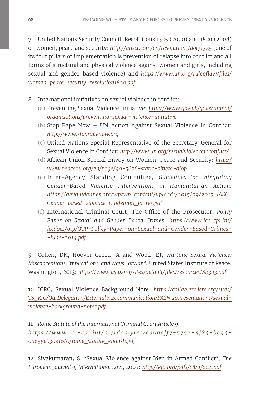7 United Nations Security Council, Resolutions 1325 (2000) and 1820 (2008) on women, peace and security: *http://unscr.com/en/resolutions/doc/1325* (one of its four pillars of implementation is prevention of relapse into conflict and all forms of structural and physical violence against women and girls, including sexual and gender-based violence) and *[https://www.un.org/ruleoflaw/files/](https://www.un.org/ruleoflaw/files/women_peace_security_resolution1820.pdf) [women\\_peace\\_security\\_resolution1820.pdf](https://www.un.org/ruleoflaw/files/women_peace_security_resolution1820.pdf)*

- 8 International initiatives on sexual violence in conflict:
	- (a) Preventing Sexual Violence Initiative: *[https://www.gov.uk/government/](https://www.gov.uk/government/organisations/preventing-sexual-violence-initiative) [organisations/preventing-sexual-violence-initiative](https://www.gov.uk/government/organisations/preventing-sexual-violence-initiative)*
	- (b) Stop Rape Now UN Action Against Sexual Violence in Conflict: *http://www.stoprapenow.org*
	- (c) United Nations Special Representative of the Secretary-General for Sexual Violence in Conflict: *http://www.un.org/sexualviolenceinconflict/*
	- (d) African Union Special Envoy on Women, Peace and Security: *http:// www.peaceau.org/en/page/40-5676-static-bineta-diop*
	- (e) Inter-Agency Standing Committee, *Guidelines for Integrating Gender-Based Violence Interventions in Humanitarian Action: https://gbvguidelines.org/wp/wp-content/uploads/2015/09/2015-IASC-Gender-based-Violence-Guidelines\_lo-res.pdf*
	- (f) International Criminal Court, The Office of the Prosecutor, *Policy Paper on Sexual and Gender-Based Crimes: [https://www.icc-cpi.int/](https://www.icc-cpi.int/iccdocs/otp/OTP-Policy-Paper-on-Sexual-and-Gender-Based-Crimes--June-2014.pdf) [iccdocs/otp/OTP-Policy-Paper-on-Sexual-and-Gender-Based-Crimes-](https://www.icc-cpi.int/iccdocs/otp/OTP-Policy-Paper-on-Sexual-and-Gender-Based-Crimes--June-2014.pdf) [-June-2014.pdf](https://www.icc-cpi.int/iccdocs/otp/OTP-Policy-Paper-on-Sexual-and-Gender-Based-Crimes--June-2014.pdf)*

9 Cohen, DK, Hoover Green, A and Wood, EJ, *Wartime Sexual Violence: Misconceptions, Implications, and Ways Forward*, United States Institute of Peace, Washington, 2013: *https://www.usip.org/sites/default/files/resources/SR323.pdf*

10 ICRC, Sexual Violence Background Note: *[https://collab.ext.icrc.org/sites/](https://collab.ext.icrc.org/sites/TS_KIG/OurDelegation/External%20communication/FAS%20Presentations/sexual-violence-background-notes.pdf) [TS\\_KIG/OurDelegation/External%20communication/FAS%20Presentations/sexual](https://collab.ext.icrc.org/sites/TS_KIG/OurDelegation/External%20communication/FAS%20Presentations/sexual-violence-background-notes.pdf)[violence-background-notes.pdf](https://collab.ext.icrc.org/sites/TS_KIG/OurDelegation/External%20communication/FAS%20Presentations/sexual-violence-background-notes.pdf)*

11 *Rome Statute of the International Criminal Court Article 9: https://www.icc-cpi.int/nr/rdonlyres/ea9aeff7-5752-4f84-be94- 0a655eb30e16/0/rome\_statute\_english.pdf*

12 Sivakumaran, S, "Sexual Violence against Men in Armed Conflict", *The European Journal of International Law*, 2007: *http://ejil.org/pdfs/18/2/224.pdf*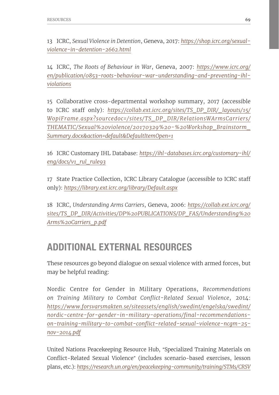13 ICRC, *Sexual Violence in Detention*, Geneva, 2017: *https://shop.icrc.org/sexualviolence-in-detention-2662.html*

14 ICRC, *The Roots of Behaviour in War*, Geneva, 2007: *[https://www.icrc.org/](https://www.icrc.org/en/publication/0853-roots-behaviour-war-understanding-and-preventing-ihl-violations) [en/publication/0853-roots-behaviour-war-understanding-and-preventing-ihl](https://www.icrc.org/en/publication/0853-roots-behaviour-war-understanding-and-preventing-ihl-violations)[violations](https://www.icrc.org/en/publication/0853-roots-behaviour-war-understanding-and-preventing-ihl-violations)*

15 Collaborative cross-departmental workshop summary, 2017 (accessible to ICRC staff only): *[https://collab.ext.icrc.org/sites/TS\\_DP\\_DIR/\\_layouts/15/](https://collab.ext.icrc.org/sites/TS_DP_DIR/_layouts/15/WopiFrame.aspx?sourcedoc=/sites/TS_DP_DIR/RelationsWArmsCarriers/THEMATIC/Sexual%20violence/20170329%20-%20Workshop_Brainstorm_Summary.docx&action=default&DefaultItemOpen=1) [WopiFrame.aspx?sourcedoc=/sites/TS\\_DP\\_DIR/RelationsWArmsCarriers/](https://collab.ext.icrc.org/sites/TS_DP_DIR/_layouts/15/WopiFrame.aspx?sourcedoc=/sites/TS_DP_DIR/RelationsWArmsCarriers/THEMATIC/Sexual%20violence/20170329%20-%20Workshop_Brainstorm_Summary.docx&action=default&DefaultItemOpen=1) [THEMATIC/Sexual%20violence/20170329%20-%20Workshop\\_Brainstorm\\_](https://collab.ext.icrc.org/sites/TS_DP_DIR/_layouts/15/WopiFrame.aspx?sourcedoc=/sites/TS_DP_DIR/RelationsWArmsCarriers/THEMATIC/Sexual%20violence/20170329%20-%20Workshop_Brainstorm_Summary.docx&action=default&DefaultItemOpen=1) [Summary.docx&action=default&DefaultItemOpen=1](https://collab.ext.icrc.org/sites/TS_DP_DIR/_layouts/15/WopiFrame.aspx?sourcedoc=/sites/TS_DP_DIR/RelationsWArmsCarriers/THEMATIC/Sexual%20violence/20170329%20-%20Workshop_Brainstorm_Summary.docx&action=default&DefaultItemOpen=1)*

16 ICRC Customary IHL Database: *[https://ihl-databases.icrc.org/customary-ihl/](https://ihl-databases.icrc.org/customary-ihl/eng/docs/v1_rul_rule93) [eng/docs/v1\\_rul\\_rule93](https://ihl-databases.icrc.org/customary-ihl/eng/docs/v1_rul_rule93)*

17 State Practice Collection, ICRC Library Catalogue (accessible to ICRC staff only): *https://library.ext.icrc.org/library/Default.aspx*

18 ICRC, *Understanding Arms Carriers*, Geneva, 2006: *[https://collab.ext.icrc.org/](https://collab.ext.icrc.org/sites/TS_DP_DIR/Activities/DP%20PUBLICATIONS/DP_FAS/Understanding%20Arms%20Carriers_p.pdf) [sites/TS\\_DP\\_DIR/Activities/DP%20PUBLICATIONS/DP\\_FAS/Understanding%20](https://collab.ext.icrc.org/sites/TS_DP_DIR/Activities/DP%20PUBLICATIONS/DP_FAS/Understanding%20Arms%20Carriers_p.pdf) [Arms%20Carriers\\_p.pdf](https://collab.ext.icrc.org/sites/TS_DP_DIR/Activities/DP%20PUBLICATIONS/DP_FAS/Understanding%20Arms%20Carriers_p.pdf)*

## ADDITIONAL EXTERNAL RESOURCES

These resources go beyond dialogue on sexual violence with armed forces, but may be helpful reading:

Nordic Centre for Gender in Military Operations, *Recommendations on Training Military to Combat Conflict-Related Sexual Violence*, 2014: *[https://www.forsvarsmakten.se/siteassets/english/swedint/engelska/swedint/](https://www.forsvarsmakten.se/siteassets/english/swedint/engelska/swedint/nordic-centre-for-gender-in-military-operations/final-recommendations-on-training-military-to-combat-conflict-related-sexual-violence-ncgm-25-nov-2014.pdf) [nordic-centre-for-gender-in-military-operations/final-recommendations](https://www.forsvarsmakten.se/siteassets/english/swedint/engelska/swedint/nordic-centre-for-gender-in-military-operations/final-recommendations-on-training-military-to-combat-conflict-related-sexual-violence-ncgm-25-nov-2014.pdf)[on-training-military-to-combat-conflict-related-sexual-violence-ncgm-25](https://www.forsvarsmakten.se/siteassets/english/swedint/engelska/swedint/nordic-centre-for-gender-in-military-operations/final-recommendations-on-training-military-to-combat-conflict-related-sexual-violence-ncgm-25-nov-2014.pdf) [nov-2014.pdf](https://www.forsvarsmakten.se/siteassets/english/swedint/engelska/swedint/nordic-centre-for-gender-in-military-operations/final-recommendations-on-training-military-to-combat-conflict-related-sexual-violence-ncgm-25-nov-2014.pdf)*

United Nations Peacekeeping Resource Hub, "Specialized Training Materials on Conflict-Related Sexual Violence" (includes scenario-based exercises, lesson plans, etc.): *[https://research.un.org/en/peacekeeping-community/training/STMs/CRSV](https://research.un.org/en/peacekeeping-community/training/STMs/CRSV )*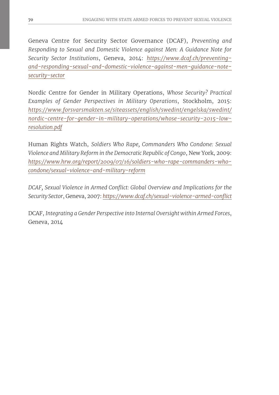Geneva Centre for Security Sector Governance (DCAF), *Preventing and Responding to Sexual and Domestic Violence against Men: A Guidance Note for Security Sector Institutions*, Geneva, 2014: *[https://www.dcaf.ch/preventing](https://www.dcaf.ch/preventing-and-responding-sexual-and-domestic-violence-against-men-guidance-note-security-sector)[and-responding-sexual-and-domestic-violence-against-men-guidance-note](https://www.dcaf.ch/preventing-and-responding-sexual-and-domestic-violence-against-men-guidance-note-security-sector)[security-sector](https://www.dcaf.ch/preventing-and-responding-sexual-and-domestic-violence-against-men-guidance-note-security-sector)*

Nordic Centre for Gender in Military Operations, *Whose Security? Practical Examples of Gender Perspectives in Military Operations*, Stockholm, 2015: *[https://www.forsvarsmakten.se/siteassets/english/swedint/engelska/swedint/](https://www.forsvarsmakten.se/siteassets/english/swedint/engelska/swedint/nordic-centre-for-gender-in-military-operations/whose-security-2015-low-resolution.pdf) [nordic-centre-for-gender-in-military-operations/whose-security-2015-low](https://www.forsvarsmakten.se/siteassets/english/swedint/engelska/swedint/nordic-centre-for-gender-in-military-operations/whose-security-2015-low-resolution.pdf)[resolution.pdf](https://www.forsvarsmakten.se/siteassets/english/swedint/engelska/swedint/nordic-centre-for-gender-in-military-operations/whose-security-2015-low-resolution.pdf)*

Human Rights Watch, *Soldiers Who Rape, Commanders Who Condone: Sexual Violence and Military Reform in the Democratic Republic of Congo*, New York, 2009: *[https://www.hrw.org/report/2009/07/16/soldiers-who-rape-commanders-who](https://www.hrw.org/report/2009/07/16/soldiers-who-rape-commanders-who-condone/sexual-violence-and-military-reform)[condone/sexual-violence-and-military-reform](https://www.hrw.org/report/2009/07/16/soldiers-who-rape-commanders-who-condone/sexual-violence-and-military-reform)*

*DCAF, Sexual Violence in Armed Conflict: Global Overview and Implications for the Security Sector*, Geneva, 2007: *[https://www.dcaf.ch/sexual-violence-armed-conflict](https://www.dcaf.ch/sexual-violence-armed-conflict )*

DCAF, *Integrating a Gender Perspective into Internal Oversight within Armed Forces*, Geneva, 2014